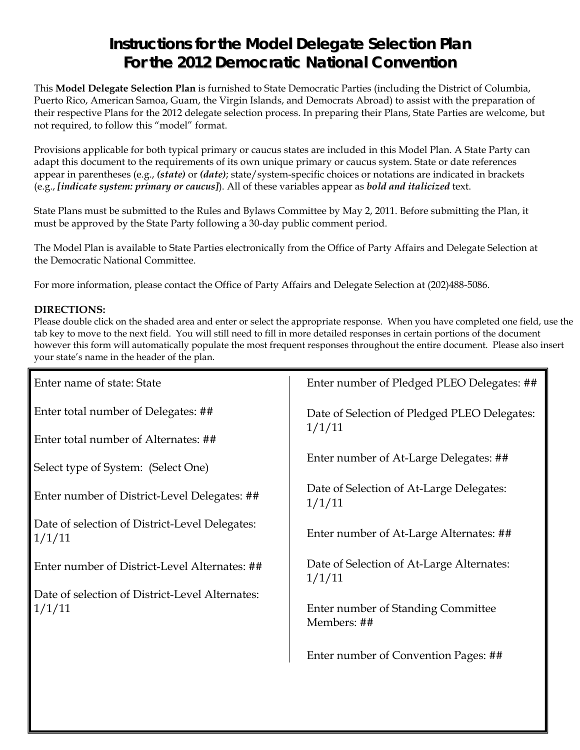# **Instructions for the Model Delegate Selection Plan For the 2012 Democratic National Convention**

This **Model Delegate Selection Plan** is furnished to State Democratic Parties (including the District of Columbia, Puerto Rico, American Samoa, Guam, the Virgin Islands, and Democrats Abroad) to assist with the preparation of their respective Plans for the 2012 delegate selection process. In preparing their Plans, State Parties are welcome, but not required, to follow this "model" format.

Provisions applicable for both typical primary or caucus states are included in this Model Plan. A State Party can adapt this document to the requirements of its own unique primary or caucus system. State or date references appear in parentheses (e.g., *(state)* or *(date)*; state/system-specific choices or notations are indicated in brackets (e.g., *[indicate system: primary or caucus]*). All of these variables appear as *bold and italicized* text.

State Plans must be submitted to the Rules and Bylaws Committee by May 2, 2011. Before submitting the Plan, it must be approved by the State Party following a 30-day public comment period.

The Model Plan is available to State Parties electronically from the Office of Party Affairs and Delegate Selection at the Democratic National Committee.

For more information, please contact the Office of Party Affairs and Delegate Selection at (202)488-5086.

## **DIRECTIONS:**

Please double click on the shaded area and enter or select the appropriate response. When you have completed one field, use the tab key to move to the next field. You will still need to fill in more detailed responses in certain portions of the document however this form will automatically populate the most frequent responses throughout the entire document. Please also insert your state's name in the header of the plan.

| Enter name of state: State                                | Enter number of Pledged PLEO Delegates: ##          |
|-----------------------------------------------------------|-----------------------------------------------------|
| Enter total number of Delegates: ##                       | Date of Selection of Pledged PLEO Delegates:        |
| Enter total number of Alternates: ##                      | 1/1/11                                              |
| Select type of System: (Select One)                       | Enter number of At-Large Delegates: ##              |
| Enter number of District-Level Delegates: ##              | Date of Selection of At-Large Delegates:<br>1/1/11  |
| Date of selection of District-Level Delegates:<br>1/1/11  | Enter number of At-Large Alternates: ##             |
| Enter number of District-Level Alternates: ##             | Date of Selection of At-Large Alternates:<br>1/1/11 |
| Date of selection of District-Level Alternates:<br>1/1/11 | Enter number of Standing Committee<br>Members: ##   |
|                                                           | Enter number of Convention Pages: ##                |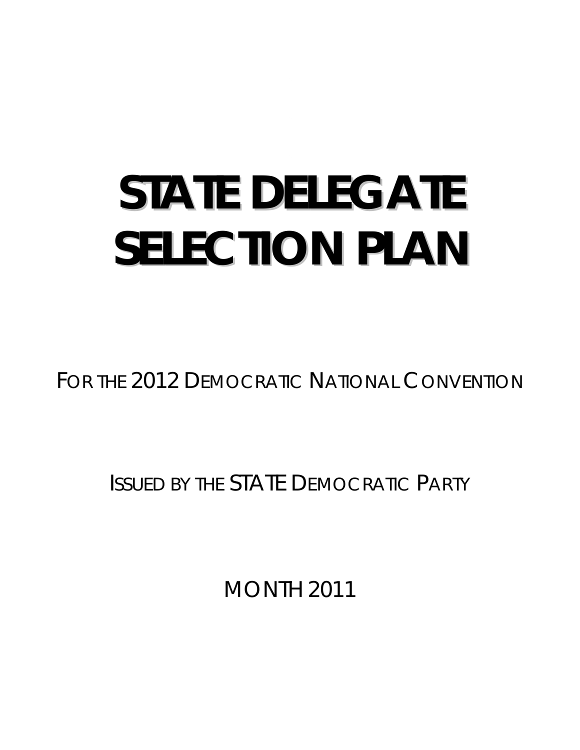# **STATE DELEGATE SELECTION PLAN**

FOR THE 2012 DEMOCRATIC NATIONAL CONVENTION

ISSUED BY THE STATE DEMOCRATIC PARTY

MONTH 2011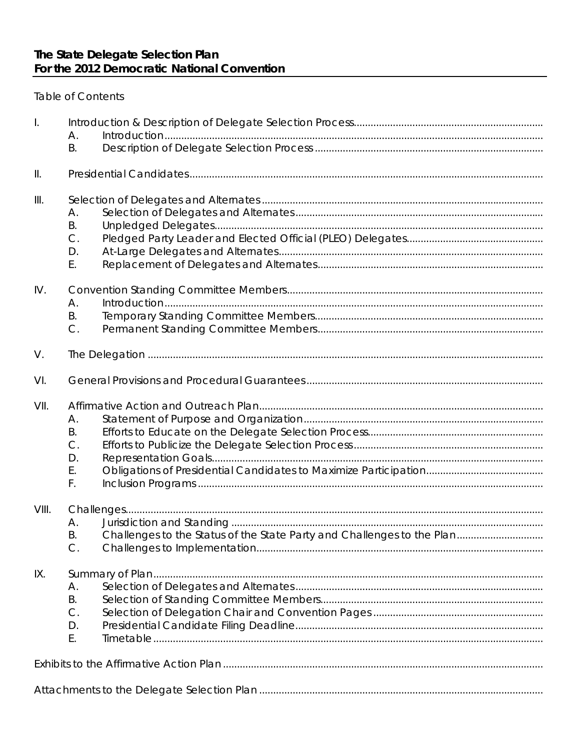**Table of Contents** 

| $\mathbf{L}$  |           |                                                                        |
|---------------|-----------|------------------------------------------------------------------------|
|               | Α.        |                                                                        |
|               | <b>B.</b> |                                                                        |
| $\parallel$ . |           |                                                                        |
| III.          |           |                                                                        |
|               | А.        |                                                                        |
|               | Β.        |                                                                        |
|               | $C$ .     |                                                                        |
|               | D.        |                                                                        |
|               | Ε.        |                                                                        |
| IV.           |           |                                                                        |
|               | А.        |                                                                        |
|               | Β.        |                                                                        |
|               | $C$ .     |                                                                        |
| V.            |           |                                                                        |
| VI.           |           |                                                                        |
| VII.          |           |                                                                        |
|               | Α.        |                                                                        |
|               | <b>B.</b> |                                                                        |
|               | $C$ .     |                                                                        |
|               | D.        |                                                                        |
|               | Ε.        |                                                                        |
|               | F.        |                                                                        |
| VIII.         |           |                                                                        |
|               | А.        |                                                                        |
|               | В.        | Challenges to the Status of the State Party and Challenges to the Plan |
|               | $C$ .     |                                                                        |
| IX.           |           |                                                                        |
|               | А.        |                                                                        |
|               | <b>B.</b> |                                                                        |
|               | $C$ .     |                                                                        |
|               | D.        |                                                                        |
|               | Ε.        |                                                                        |
|               |           |                                                                        |
|               |           |                                                                        |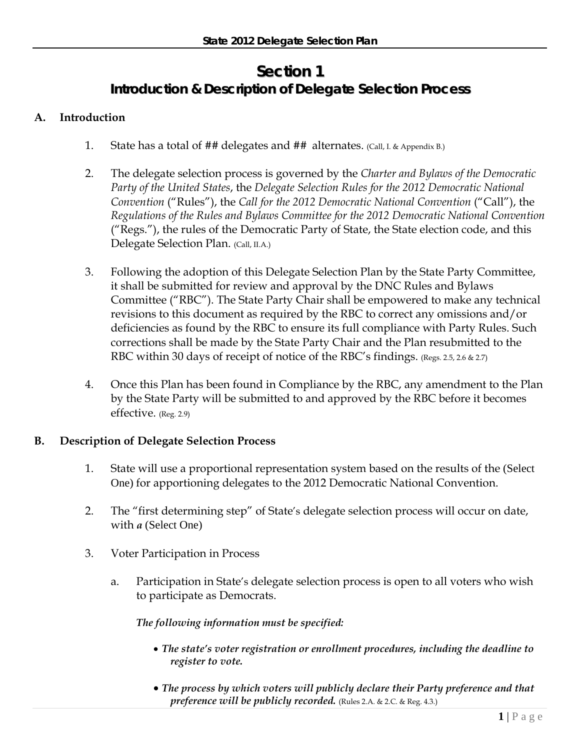# **Section 1 Introduction & Description of Delegate Selection Process**

# **A. Introduction**

- 1. State has a total of ## delegates and ##alternates. (Call, I. & Appendix B.)
- 2. The delegate selection process is governed by the *Charter and Bylaws of the Democratic Party of the United States*, the *Delegate Selection Rules for the 2012 Democratic National Convention* ("Rules"), the *Call for the 2012 Democratic National Convention* ("Call"), the *Regulations of the Rules and Bylaws Committee for the 2012 Democratic National Convention* ("Regs."), the rules of the Democratic Party of State, the State election code, and this Delegate Selection Plan. (Call, II.A.)
- 3. Following the adoption of this Delegate Selection Plan by the State Party Committee, it shall be submitted for review and approval by the DNC Rules and Bylaws Committee ("RBC"). The State Party Chair shall be empowered to make any technical revisions to this document as required by the RBC to correct any omissions and/or deficiencies as found by the RBC to ensure its full compliance with Party Rules. Such corrections shall be made by the State Party Chair and the Plan resubmitted to the RBC within 30 days of receipt of notice of the RBC's findings. (Regs. 2.5, 2.6 & 2.7)
- 4. Once this Plan has been found in Compliance by the RBC, any amendment to the Plan by the State Party will be submitted to and approved by the RBC before it becomes effective. (Reg. 2.9)

## **B. Description of Delegate Selection Process**

- 1. State will use a proportional representation system based on the results of the (Select One) for apportioning delegates to the 2012 Democratic National Convention.
- 2. The "first determining step" of State's delegate selection process will occur on date, with *a* (Select One)
- 3. Voter Participation in Process
	- a. Participation in State's delegate selection process is open to all voters who wish to participate as Democrats.

## *The following information must be specified:*

- *The state's voter registration or enrollment procedures, including the deadline to register to vote.*
- *The process by which voters will publicly declare their Party preference and that preference will be publicly recorded.* (Rules 2.A. & 2.C. & Reg. 4.3.)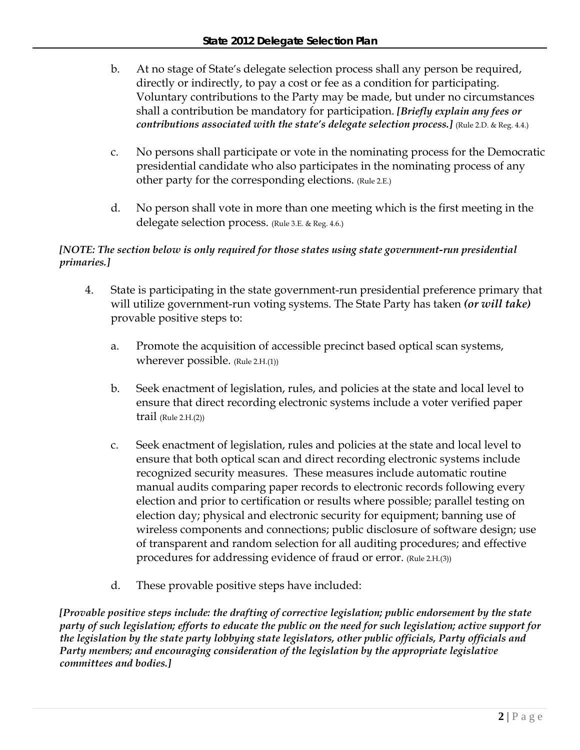- b. At no stage of State's delegate selection process shall any person be required, directly or indirectly, to pay a cost or fee as a condition for participating. Voluntary contributions to the Party may be made, but under no circumstances shall a contribution be mandatory for participation. *[Briefly explain any fees or contributions associated with the state's delegate selection process.]* (Rule 2.D. & Reg. 4.4.)
- c. No persons shall participate or vote in the nominating process for the Democratic presidential candidate who also participates in the nominating process of any other party for the corresponding elections. (Rule 2.E.)
- d. No person shall vote in more than one meeting which is the first meeting in the delegate selection process. (Rule 3.E. & Reg. 4.6.)

# *[NOTE: The section below is only required for those states using state government-run presidential primaries.]*

- 4. State is participating in the state government-run presidential preference primary that will utilize government-run voting systems. The State Party has taken *(or will take)* provable positive steps to:
	- a. Promote the acquisition of accessible precinct based optical scan systems, wherever possible. (Rule 2.H.(1))
	- b. Seek enactment of legislation, rules, and policies at the state and local level to ensure that direct recording electronic systems include a voter verified paper  $trail$  (Rule 2.H. $(2)$ )
	- c. Seek enactment of legislation, rules and policies at the state and local level to ensure that both optical scan and direct recording electronic systems include recognized security measures. These measures include automatic routine manual audits comparing paper records to electronic records following every election and prior to certification or results where possible; parallel testing on election day; physical and electronic security for equipment; banning use of wireless components and connections; public disclosure of software design; use of transparent and random selection for all auditing procedures; and effective procedures for addressing evidence of fraud or error. (Rule 2.H.(3))
	- d. These provable positive steps have included:

*[Provable positive steps include: the drafting of corrective legislation; public endorsement by the state party of such legislation; efforts to educate the public on the need for such legislation; active support for the legislation by the state party lobbying state legislators, other public officials, Party officials and Party members; and encouraging consideration of the legislation by the appropriate legislative committees and bodies.]*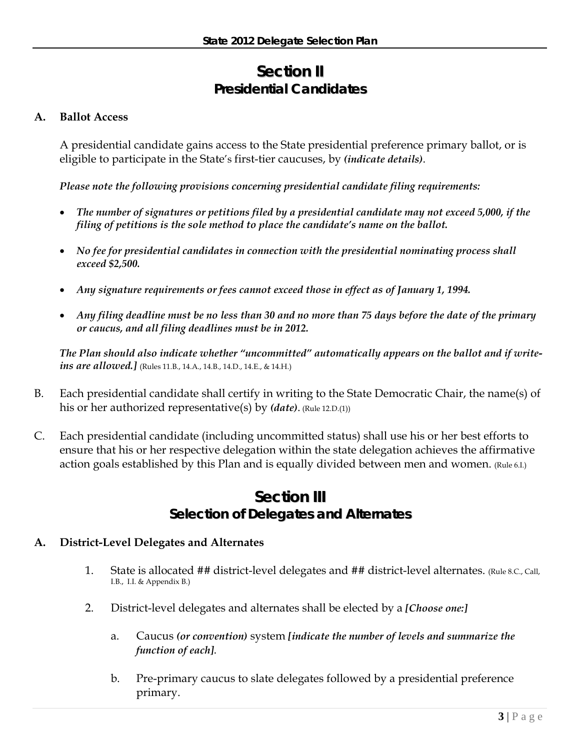# **Section II Presidential Candidates**

# **A. Ballot Access**

A presidential candidate gains access to the State presidential preference primary ballot, or is eligible to participate in the State's first-tier caucuses, by *(indicate details)*.

*Please note the following provisions concerning presidential candidate filing requirements:* 

- *The number of signatures or petitions filed by a presidential candidate may not exceed 5,000, if the filing of petitions is the sole method to place the candidate's name on the ballot.*
- *No fee for presidential candidates in connection with the presidential nominating process shall exceed \$2,500.*
- *Any signature requirements or fees cannot exceed those in effect as of January 1, 1994.*
- *Any filing deadline must be no less than 30 and no more than 75 days before the date of the primary or caucus, and all filing deadlines must be in 2012.*

*The Plan should also indicate whether "uncommitted" automatically appears on the ballot and if writeins are allowed.]* (Rules 11.B., 14.A., 14.B., 14.D., 14.E., & 14.H.)

- B. Each presidential candidate shall certify in writing to the State Democratic Chair, the name(s) of his or her authorized representative(s) by *(date)*. (Rule 12.D.(1))
- C. Each presidential candidate (including uncommitted status) shall use his or her best efforts to ensure that his or her respective delegation within the state delegation achieves the affirmative action goals established by this Plan and is equally divided between men and women. (Rule 6.I.)

# **Section III Selection of Delegates and Alternates**

## **A. District-Level Delegates and Alternates**

- 1. State is allocated ## district-level delegates and ## district-level alternates. (Rule 8.C., Call, I.B., I.I. & Appendix B.)
- 2. District-level delegates and alternates shall be elected by a *[Choose one:]*
	- a. Caucus *(or convention)* system *[indicate the number of levels and summarize the function of each]*.
	- b. Pre-primary caucus to slate delegates followed by a presidential preference primary.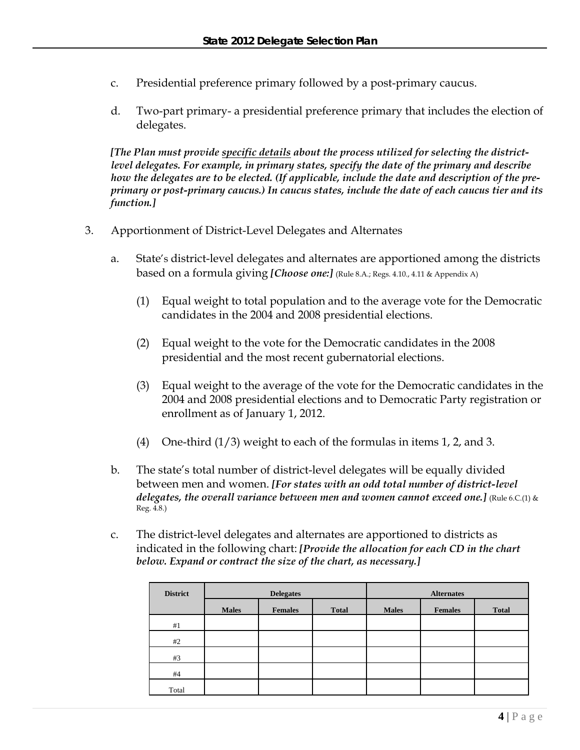- c. Presidential preference primary followed by a post-primary caucus.
- d. Two-part primary- a presidential preference primary that includes the election of delegates.

*[The Plan must provide specific details about the process utilized for selecting the districtlevel delegates. For example, in primary states, specify the date of the primary and describe how the delegates are to be elected. (If applicable, include the date and description of the preprimary or post-primary caucus.) In caucus states, include the date of each caucus tier and its function.]* 

- 3. Apportionment of District-Level Delegates and Alternates
	- a. State's district-level delegates and alternates are apportioned among the districts based on a formula giving *[Choose one:]* (Rule 8.A.; Regs. 4.10., 4.11 & Appendix A)
		- (1) Equal weight to total population and to the average vote for the Democratic candidates in the 2004 and 2008 presidential elections.
		- (2) Equal weight to the vote for the Democratic candidates in the 2008 presidential and the most recent gubernatorial elections.
		- (3) Equal weight to the average of the vote for the Democratic candidates in the 2004 and 2008 presidential elections and to Democratic Party registration or enrollment as of January 1, 2012.
		- (4) One-third  $(1/3)$  weight to each of the formulas in items 1, 2, and 3.
	- b. The state's total number of district-level delegates will be equally divided between men and women. *[For states with an odd total number of district-level delegates, the overall variance between men and women cannot exceed one.]* (Rule 6.C.(1) & Reg. 4.8.)
	- c. The district-level delegates and alternates are apportioned to districts as indicated in the following chart: *[Provide the allocation for each CD in the chart below. Expand or contract the size of the chart, as necessary.]*

| <b>District</b> |              | <b>Delegates</b> |              | <b>Alternates</b> |                |              |  |
|-----------------|--------------|------------------|--------------|-------------------|----------------|--------------|--|
|                 | <b>Males</b> | <b>Females</b>   | <b>Total</b> | <b>Males</b>      | <b>Females</b> | <b>Total</b> |  |
| #1              |              |                  |              |                   |                |              |  |
| #2              |              |                  |              |                   |                |              |  |
| #3              |              |                  |              |                   |                |              |  |
| #4              |              |                  |              |                   |                |              |  |
| Total           |              |                  |              |                   |                |              |  |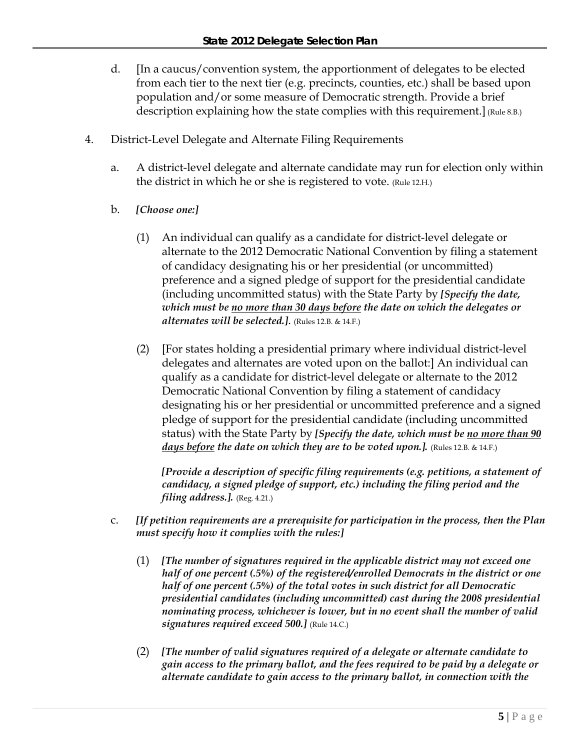- d. [In a caucus/convention system, the apportionment of delegates to be elected from each tier to the next tier (e.g. precincts, counties, etc.) shall be based upon population and/or some measure of Democratic strength. Provide a brief description explaining how the state complies with this requirement.] (Rule 8.B.)
- 4. District-Level Delegate and Alternate Filing Requirements
	- a. A district-level delegate and alternate candidate may run for election only within the district in which he or she is registered to vote. (Rule 12.H.)
	- b. *[Choose one:]*
		- (1) An individual can qualify as a candidate for district-level delegate or alternate to the 2012 Democratic National Convention by filing a statement of candidacy designating his or her presidential (or uncommitted) preference and a signed pledge of support for the presidential candidate (including uncommitted status) with the State Party by *[Specify the date, which must be no more than 30 days before the date on which the delegates or alternates will be selected.]*. (Rules 12.B. & 14.F.)
		- (2) [For states holding a presidential primary where individual district-level delegates and alternates are voted upon on the ballot:] An individual can qualify as a candidate for district-level delegate or alternate to the 2012 Democratic National Convention by filing a statement of candidacy designating his or her presidential or uncommitted preference and a signed pledge of support for the presidential candidate (including uncommitted status) with the State Party by *[Specify the date, which must be no more than 90 days before the date on which they are to be voted upon.].* (Rules 12.B. & 14.F.)

*[Provide a description of specific filing requirements (e.g. petitions, a statement of candidacy, a signed pledge of support, etc.) including the filing period and the filing address.].* (Reg. 4.21.)

- c. *[If petition requirements are a prerequisite for participation in the process, then the Plan must specify how it complies with the rules:]* 
	- (1) *[The number of signatures required in the applicable district may not exceed one half of one percent (.5%) of the registered/enrolled Democrats in the district or one half of one percent (.5%) of the total votes in such district for all Democratic presidential candidates (including uncommitted) cast during the 2008 presidential nominating process, whichever is lower, but in no event shall the number of valid signatures required exceed 500.]* (Rule 14.C.)
	- (2) *[The number of valid signatures required of a delegate or alternate candidate to gain access to the primary ballot, and the fees required to be paid by a delegate or alternate candidate to gain access to the primary ballot, in connection with the*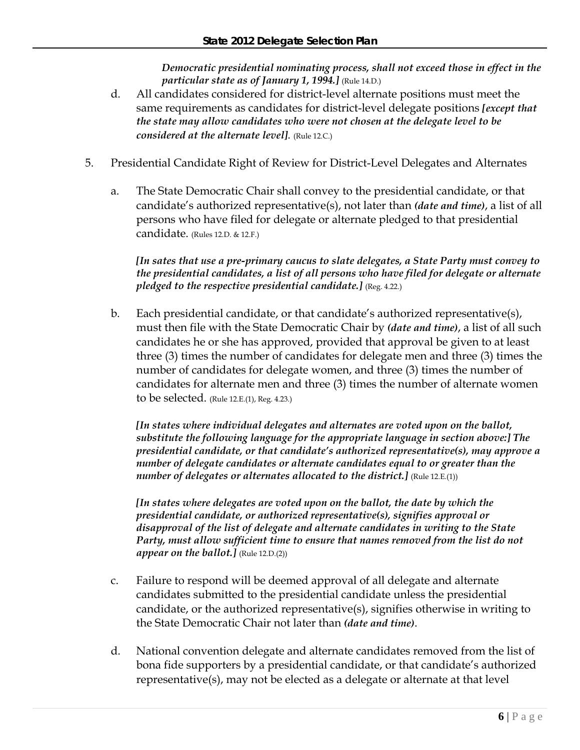*Democratic presidential nominating process, shall not exceed those in effect in the particular state as of January 1, 1994.]* (Rule 14.D.)

- d. All candidates considered for district-level alternate positions must meet the same requirements as candidates for district-level delegate positions *[except that the state may allow candidates who were not chosen at the delegate level to be considered at the alternate level]*. (Rule 12.C.)
- 5. Presidential Candidate Right of Review for District-Level Delegates and Alternates
	- a. The State Democratic Chair shall convey to the presidential candidate, or that candidate's authorized representative(s), not later than *(date and time)*, a list of all persons who have filed for delegate or alternate pledged to that presidential candidate. (Rules 12.D. & 12.F.)

*[In sates that use a pre-primary caucus to slate delegates, a State Party must convey to the presidential candidates, a list of all persons who have filed for delegate or alternate pledged to the respective presidential candidate.]* (Reg. 4.22.)

b. Each presidential candidate, or that candidate's authorized representative(s), must then file with the State Democratic Chair by *(date and time)*, a list of all such candidates he or she has approved, provided that approval be given to at least three (3) times the number of candidates for delegate men and three (3) times the number of candidates for delegate women, and three (3) times the number of candidates for alternate men and three (3) times the number of alternate women to be selected. (Rule 12.E.(1), Reg. 4.23.)

*[In states where individual delegates and alternates are voted upon on the ballot, substitute the following language for the appropriate language in section above:] The presidential candidate, or that candidate's authorized representative(s), may approve a number of delegate candidates or alternate candidates equal to or greater than the number of delegates or alternates allocated to the district.*] (Rule 12.E.(1))

*[In states where delegates are voted upon on the ballot, the date by which the presidential candidate, or authorized representative(s), signifies approval or disapproval of the list of delegate and alternate candidates in writing to the State Party, must allow sufficient time to ensure that names removed from the list do not appear on the ballot.]* (Rule 12.D.(2))

- c. Failure to respond will be deemed approval of all delegate and alternate candidates submitted to the presidential candidate unless the presidential candidate, or the authorized representative(s), signifies otherwise in writing to the State Democratic Chair not later than *(date and time)*.
- d. National convention delegate and alternate candidates removed from the list of bona fide supporters by a presidential candidate, or that candidate's authorized representative(s), may not be elected as a delegate or alternate at that level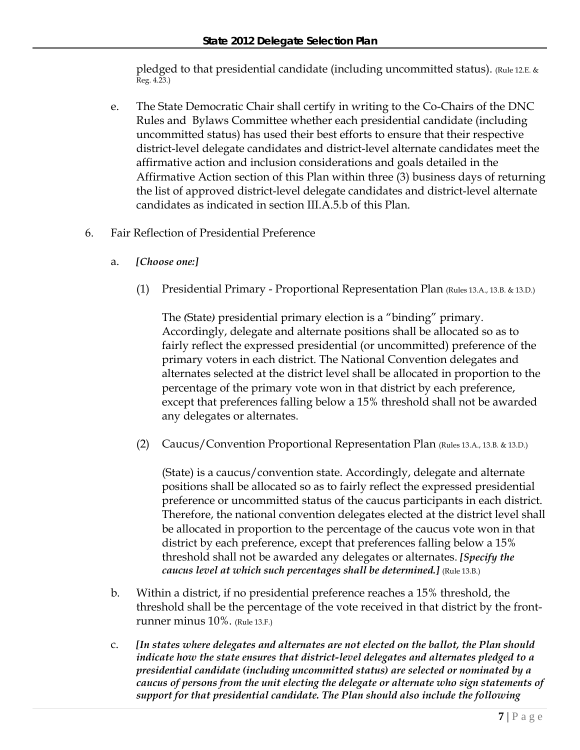pledged to that presidential candidate (including uncommitted status). (Rule 12.E. & Reg. 4.23.)

- e. The State Democratic Chair shall certify in writing to the Co-Chairs of the DNC Rules and Bylaws Committee whether each presidential candidate (including uncommitted status) has used their best efforts to ensure that their respective district-level delegate candidates and district-level alternate candidates meet the affirmative action and inclusion considerations and goals detailed in the Affirmative Action section of this Plan within three (3) business days of returning the list of approved district-level delegate candidates and district-level alternate candidates as indicated in section III.A.5.b of this Plan.
- 6. Fair Reflection of Presidential Preference
	- a. *[Choose one:]*
		- (1) Presidential Primary Proportional Representation Plan (Rules 13.A., 13.B. & 13.D.)

The *(*State*)* presidential primary election is a "binding" primary. Accordingly, delegate and alternate positions shall be allocated so as to fairly reflect the expressed presidential (or uncommitted) preference of the primary voters in each district. The National Convention delegates and alternates selected at the district level shall be allocated in proportion to the percentage of the primary vote won in that district by each preference, except that preferences falling below a 15% threshold shall not be awarded any delegates or alternates.

(2) Caucus/Convention Proportional Representation Plan (Rules 13.A., 13.B. & 13.D.)

(State) is a caucus/convention state. Accordingly, delegate and alternate positions shall be allocated so as to fairly reflect the expressed presidential preference or uncommitted status of the caucus participants in each district. Therefore, the national convention delegates elected at the district level shall be allocated in proportion to the percentage of the caucus vote won in that district by each preference, except that preferences falling below a 15% threshold shall not be awarded any delegates or alternates. *[Specify the caucus level at which such percentages shall be determined.]* (Rule 13.B.)

- b. Within a district, if no presidential preference reaches a 15% threshold, the threshold shall be the percentage of the vote received in that district by the frontrunner minus 10%. (Rule 13.F.)
- c. *[In states where delegates and alternates are not elected on the ballot, the Plan should indicate how the state ensures that district-level delegates and alternates pledged to a presidential candidate (including uncommitted status) are selected or nominated by a caucus of persons from the unit electing the delegate or alternate who sign statements of support for that presidential candidate. The Plan should also include the following*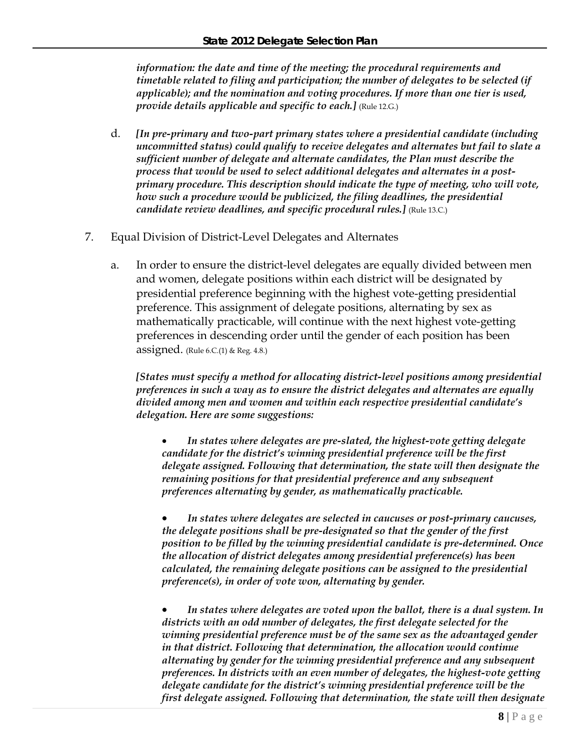*information: the date and time of the meeting; the procedural requirements and timetable related to filing and participation; the number of delegates to be selected (if applicable); and the nomination and voting procedures. If more than one tier is used, provide details applicable and specific to each.]* (Rule 12.G.)

- d. *[In pre-primary and two-part primary states where a presidential candidate (including uncommitted status) could qualify to receive delegates and alternates but fail to slate a sufficient number of delegate and alternate candidates, the Plan must describe the process that would be used to select additional delegates and alternates in a postprimary procedure. This description should indicate the type of meeting, who will vote, how such a procedure would be publicized, the filing deadlines, the presidential candidate review deadlines, and specific procedural rules.]* (Rule 13.C.)
- 7. Equal Division of District-Level Delegates and Alternates
	- a. In order to ensure the district-level delegates are equally divided between men and women, delegate positions within each district will be designated by presidential preference beginning with the highest vote-getting presidential preference. This assignment of delegate positions, alternating by sex as mathematically practicable, will continue with the next highest vote-getting preferences in descending order until the gender of each position has been assigned. (Rule  $6.C(1)$  & Reg.  $4.8$ .)

*[States must specify a method for allocating district-level positions among presidential preferences in such a way as to ensure the district delegates and alternates are equally divided among men and women and within each respective presidential candidate's delegation. Here are some suggestions:* 

• *In states where delegates are pre-slated, the highest-vote getting delegate candidate for the district's winning presidential preference will be the first delegate assigned. Following that determination, the state will then designate the remaining positions for that presidential preference and any subsequent preferences alternating by gender, as mathematically practicable.* 

• *In states where delegates are selected in caucuses or post-primary caucuses, the delegate positions shall be pre-designated so that the gender of the first position to be filled by the winning presidential candidate is pre-determined. Once the allocation of district delegates among presidential preference(s) has been calculated, the remaining delegate positions can be assigned to the presidential preference(s), in order of vote won, alternating by gender.*

• *In states where delegates are voted upon the ballot, there is a dual system. In districts with an odd number of delegates, the first delegate selected for the winning presidential preference must be of the same sex as the advantaged gender in that district. Following that determination, the allocation would continue alternating by gender for the winning presidential preference and any subsequent preferences. In districts with an even number of delegates, the highest-vote getting delegate candidate for the district's winning presidential preference will be the first delegate assigned. Following that determination, the state will then designate*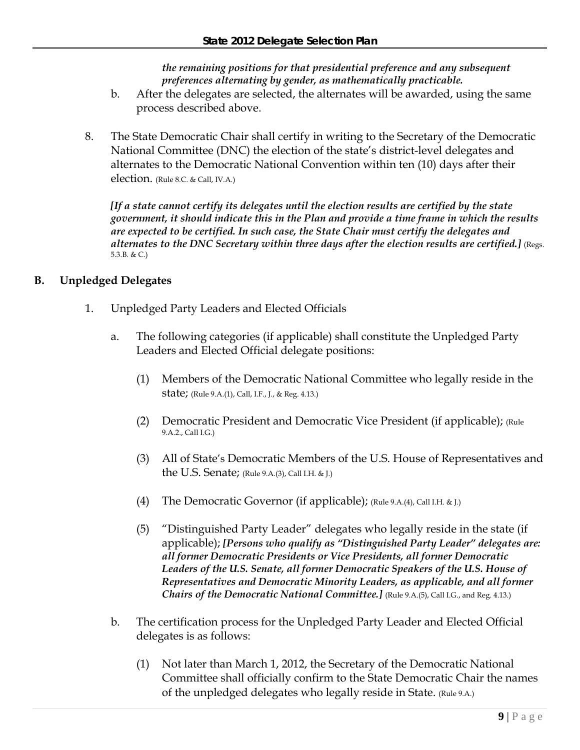*the remaining positions for that presidential preference and any subsequent preferences alternating by gender, as mathematically practicable.*

- b. After the delegates are selected, the alternates will be awarded, using the same process described above.
- 8. The State Democratic Chair shall certify in writing to the Secretary of the Democratic National Committee (DNC) the election of the state's district-level delegates and alternates to the Democratic National Convention within ten (10) days after their election. (Rule 8.C. & Call, IV.A.)

*[If a state cannot certify its delegates until the election results are certified by the state government, it should indicate this in the Plan and provide a time frame in which the results are expected to be certified. In such case, the State Chair must certify the delegates and alternates to the DNC Secretary within three days after the election results are certified.]* (Regs. 5.3.B. & C.)

# **B. Unpledged Delegates**

- 1. Unpledged Party Leaders and Elected Officials
	- a. The following categories (if applicable) shall constitute the Unpledged Party Leaders and Elected Official delegate positions:
		- (1) Members of the Democratic National Committee who legally reside in the state; (Rule 9.A.(1), Call, I.F., J., & Reg. 4.13.)
		- (2) Democratic President and Democratic Vice President (if applicable); (Rule 9.A.2., Call I.G.)
		- (3) All of State's Democratic Members of the U.S. House of Representatives and the U.S. Senate; (Rule  $9.A.(3)$ , Call I.H. & J.)
		- (4) The Democratic Governor (if applicable); (Rule 9.A.(4), Call I.H. & J.)
		- (5) "Distinguished Party Leader" delegates who legally reside in the state (if applicable); *[Persons who qualify as "Distinguished Party Leader" delegates are: all former Democratic Presidents or Vice Presidents, all former Democratic*  Leaders of the U.S. Senate, all former Democratic Speakers of the U.S. House of *Representatives and Democratic Minority Leaders, as applicable, and all former Chairs of the Democratic National Committee.]* (Rule 9.A.(5), Call I.G., and Reg. 4.13.)
	- b. The certification process for the Unpledged Party Leader and Elected Official delegates is as follows:
		- (1) Not later than March 1, 2012, the Secretary of the Democratic National Committee shall officially confirm to the State Democratic Chair the names of the unpledged delegates who legally reside in State. (Rule 9.A.)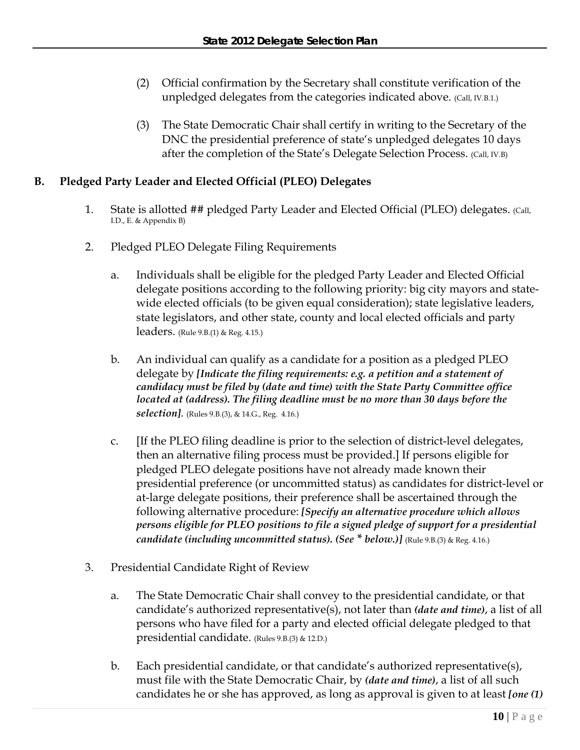- (2) Official confirmation by the Secretary shall constitute verification of the unpledged delegates from the categories indicated above. (Call, IV.B.1.)
- (3) The State Democratic Chair shall certify in writing to the Secretary of the DNC the presidential preference of state's unpledged delegates 10 days after the completion of the State's Delegate Selection Process. (Call, IV.B)

# **B. Pledged Party Leader and Elected Official (PLEO) Delegates**

- 1. State is allotted ## pledged Party Leader and Elected Official (PLEO) delegates. (Call, I.D., E. & Appendix B)
- 2. Pledged PLEO Delegate Filing Requirements
	- a. Individuals shall be eligible for the pledged Party Leader and Elected Official delegate positions according to the following priority: big city mayors and statewide elected officials (to be given equal consideration); state legislative leaders, state legislators, and other state, county and local elected officials and party leaders. (Rule 9.B.(1) & Reg. 4.15.)
	- b. An individual can qualify as a candidate for a position as a pledged PLEO delegate by *[Indicate the filing requirements: e.g. a petition and a statement of candidacy must be filed by (date and time) with the State Party Committee office located at (address). The filing deadline must be no more than 30 days before the selection]*. (Rules 9.B.(3), & 14.G., Reg. 4.16.)
	- c. [If the PLEO filing deadline is prior to the selection of district-level delegates, then an alternative filing process must be provided.] If persons eligible for pledged PLEO delegate positions have not already made known their presidential preference (or uncommitted status) as candidates for district-level or at-large delegate positions, their preference shall be ascertained through the following alternative procedure: *[Specify an alternative procedure which allows persons eligible for PLEO positions to file a signed pledge of support for a presidential candidate (including uncommitted status). (See* \* below.)] (Rule 9.B.(3) & Reg. 4.16.)
- 3. Presidential Candidate Right of Review
	- a. The State Democratic Chair shall convey to the presidential candidate, or that candidate's authorized representative(s), not later than *(date and time)*, a list of all persons who have filed for a party and elected official delegate pledged to that presidential candidate. (Rules 9.B.(3) & 12.D.)
	- b. Each presidential candidate, or that candidate's authorized representative(s), must file with the State Democratic Chair, by *(date and time)*, a list of all such candidates he or she has approved, as long as approval is given to at least *[one (1)*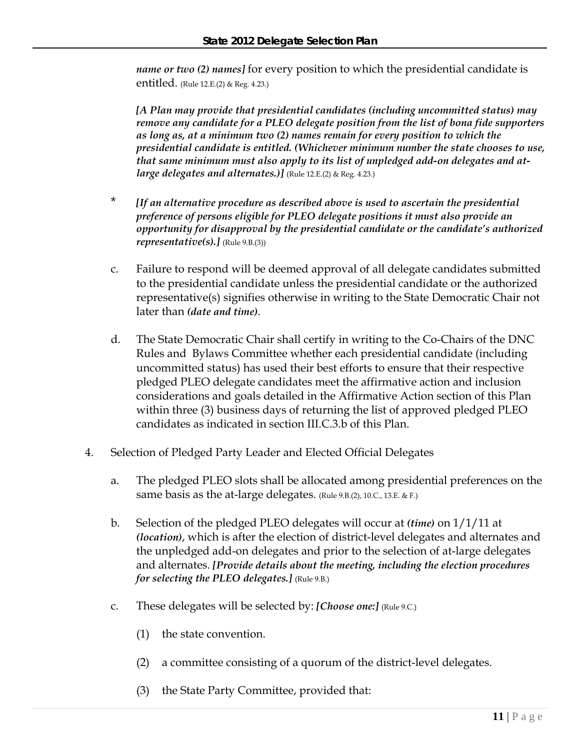*name or two (2) names]* for every position to which the presidential candidate is entitled. (Rule 12.E.(2) & Reg. 4.23.)

*[A Plan may provide that presidential candidates (including uncommitted status) may remove any candidate for a PLEO delegate position from the list of bona fide supporters as long as, at a minimum two (2) names remain for every position to which the presidential candidate is entitled. (Whichever minimum number the state chooses to use, that same minimum must also apply to its list of unpledged add-on delegates and atlarge delegates and alternates.)]* (Rule 12.E.(2) & Reg. 4.23.)

- \* *[If an alternative procedure as described above is used to ascertain the presidential preference of persons eligible for PLEO delegate positions it must also provide an opportunity for disapproval by the presidential candidate or the candidate's authorized representative(s).]* (Rule 9.B.(3))
- c. Failure to respond will be deemed approval of all delegate candidates submitted to the presidential candidate unless the presidential candidate or the authorized representative(s) signifies otherwise in writing to the State Democratic Chair not later than *(date and time)*.
- d. The State Democratic Chair shall certify in writing to the Co-Chairs of the DNC Rules and Bylaws Committee whether each presidential candidate (including uncommitted status) has used their best efforts to ensure that their respective pledged PLEO delegate candidates meet the affirmative action and inclusion considerations and goals detailed in the Affirmative Action section of this Plan within three (3) business days of returning the list of approved pledged PLEO candidates as indicated in section III.C.3.b of this Plan.
- 4. Selection of Pledged Party Leader and Elected Official Delegates
	- a. The pledged PLEO slots shall be allocated among presidential preferences on the same basis as the at-large delegates. (Rule 9.B.(2), 10.C., 13.E. & F.)
	- b. Selection of the pledged PLEO delegates will occur at *(time)* on 1/1/11 at *(location)*, which is after the election of district-level delegates and alternates and the unpledged add-on delegates and prior to the selection of at-large delegates and alternates. *[Provide details about the meeting, including the election procedures for selecting the PLEO delegates.]* (Rule 9.B.)
	- c. These delegates will be selected by: *[Choose one:]* (Rule 9.C.)
		- (1) the state convention.
		- (2) a committee consisting of a quorum of the district-level delegates.
		- (3) the State Party Committee, provided that: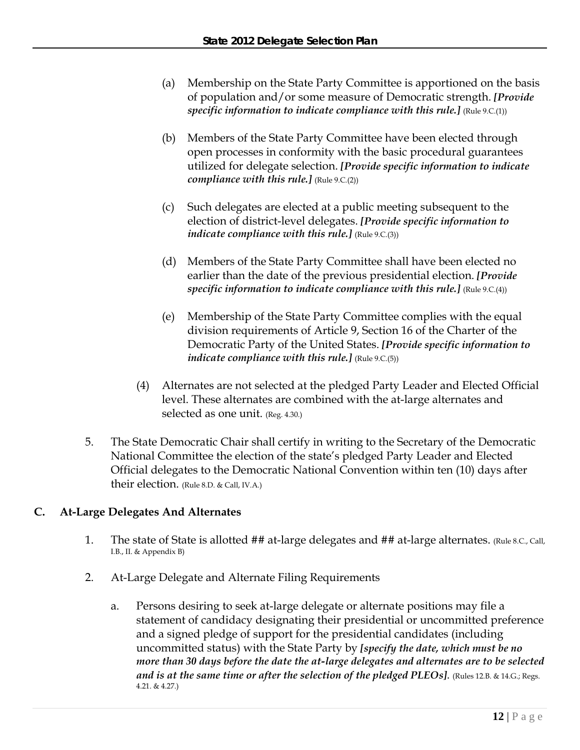- (a) Membership on the State Party Committee is apportioned on the basis of population and/or some measure of Democratic strength. *[Provide specific information to indicate compliance with this rule.*] (Rule 9.C.(1))
- (b) Members of the State Party Committee have been elected through open processes in conformity with the basic procedural guarantees utilized for delegate selection. *[Provide specific information to indicate compliance with this rule.]* (Rule 9.C.(2))
- (c) Such delegates are elected at a public meeting subsequent to the election of district-level delegates. *[Provide specific information to indicate compliance with this rule.*] (Rule 9.C.(3))
- (d) Members of the State Party Committee shall have been elected no earlier than the date of the previous presidential election. *[Provide specific information to indicate compliance with this rule.]* (Rule 9.C.(4))
- (e) Membership of the State Party Committee complies with the equal division requirements of Article 9, Section 16 of the Charter of the Democratic Party of the United States. *[Provide specific information to indicate compliance with this rule.]* (Rule 9.C.(5))
- (4) Alternates are not selected at the pledged Party Leader and Elected Official level. These alternates are combined with the at-large alternates and selected as one unit. (Reg. 4.30.)
- 5. The State Democratic Chair shall certify in writing to the Secretary of the Democratic National Committee the election of the state's pledged Party Leader and Elected Official delegates to the Democratic National Convention within ten (10) days after their election. (Rule 8.D. & Call, IV.A.)

# **C. At-Large Delegates And Alternates**

- 1. The state of State is allotted ## at-large delegates and ## at-large alternates. (Rule 8.C., Call, I.B., II. & Appendix B)
- 2. At-Large Delegate and Alternate Filing Requirements
	- a. Persons desiring to seek at-large delegate or alternate positions may file a statement of candidacy designating their presidential or uncommitted preference and a signed pledge of support for the presidential candidates (including uncommitted status) with the State Party by *[specify the date, which must be no more than 30 days before the date the at-large delegates and alternates are to be selected and is at the same time or after the selection of the pledged PLEOs]*. (Rules 12.B. & 14.G.; Regs. 4.21. & 4.27.)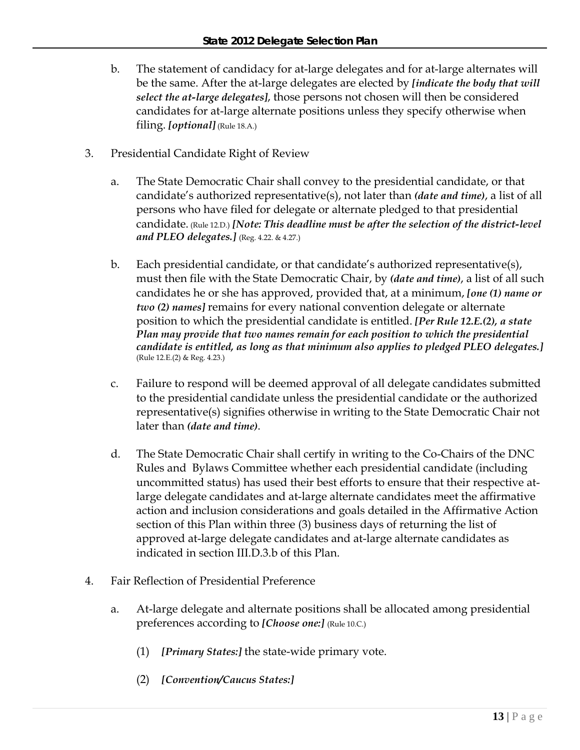- b. The statement of candidacy for at-large delegates and for at-large alternates will be the same. After the at-large delegates are elected by *[indicate the body that will select the at-large delegates]*, those persons not chosen will then be considered candidates for at-large alternate positions unless they specify otherwise when filing. *[optional]* (Rule 18.A.)
- 3. Presidential Candidate Right of Review
	- a. The State Democratic Chair shall convey to the presidential candidate, or that candidate's authorized representative(s), not later than *(date and time)*, a list of all persons who have filed for delegate or alternate pledged to that presidential candidate. (Rule 12.D.) *[Note: This deadline must be after the selection of the district-level and PLEO delegates.]* (Reg. 4.22. & 4.27.)
	- b. Each presidential candidate, or that candidate's authorized representative(s), must then file with the State Democratic Chair, by *(date and time)*, a list of all such candidates he or she has approved, provided that, at a minimum, *[one (1) name or two (2) names]* remains for every national convention delegate or alternate position to which the presidential candidate is entitled. *[Per Rule 12.E.(2), a state Plan may provide that two names remain for each position to which the presidential candidate is entitled, as long as that minimum also applies to pledged PLEO delegates.]* (Rule 12.E.(2) & Reg. 4.23.)
	- c. Failure to respond will be deemed approval of all delegate candidates submitted to the presidential candidate unless the presidential candidate or the authorized representative(s) signifies otherwise in writing to the State Democratic Chair not later than *(date and time)*.
	- d. The State Democratic Chair shall certify in writing to the Co-Chairs of the DNC Rules and Bylaws Committee whether each presidential candidate (including uncommitted status) has used their best efforts to ensure that their respective atlarge delegate candidates and at-large alternate candidates meet the affirmative action and inclusion considerations and goals detailed in the Affirmative Action section of this Plan within three (3) business days of returning the list of approved at-large delegate candidates and at-large alternate candidates as indicated in section III.D.3.b of this Plan.
- 4. Fair Reflection of Presidential Preference
	- a. At-large delegate and alternate positions shall be allocated among presidential preferences according to *[Choose one:]* (Rule 10.C.)
		- (1) *[Primary States:]* the state-wide primary vote.
		- (2) *[Convention/Caucus States:]*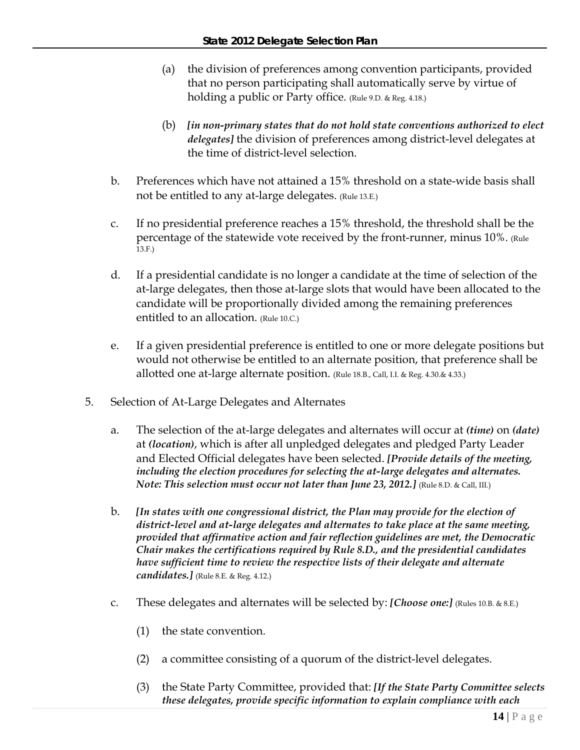- (a) the division of preferences among convention participants, provided that no person participating shall automatically serve by virtue of holding a public or Party office. (Rule 9.D. & Reg. 4.18.)
- (b) *[in non-primary states that do not hold state conventions authorized to elect delegates]* the division of preferences among district-level delegates at the time of district-level selection.
- b. Preferences which have not attained a 15% threshold on a state-wide basis shall not be entitled to any at-large delegates. (Rule 13.E.)
- c. If no presidential preference reaches a 15% threshold, the threshold shall be the percentage of the statewide vote received by the front-runner, minus 10%. (Rule  $13.F.$
- d. If a presidential candidate is no longer a candidate at the time of selection of the at-large delegates, then those at-large slots that would have been allocated to the candidate will be proportionally divided among the remaining preferences entitled to an allocation. (Rule 10.C.)
- e. If a given presidential preference is entitled to one or more delegate positions but would not otherwise be entitled to an alternate position, that preference shall be allotted one at-large alternate position. (Rule 18.B., Call, I.I. & Reg. 4.30.& 4.33.)
- 5. Selection of At-Large Delegates and Alternates
	- a. The selection of the at-large delegates and alternates will occur at *(time)* on *(date)* at *(location)*, which is after all unpledged delegates and pledged Party Leader and Elected Official delegates have been selected. *[Provide details of the meeting, including the election procedures for selecting the at-large delegates and alternates. Note: This selection must occur not later than June 23, 2012.]* (Rule 8.D. & Call, III.)
	- b. *[In states with one congressional district, the Plan may provide for the election of district-level and at-large delegates and alternates to take place at the same meeting, provided that affirmative action and fair reflection guidelines are met, the Democratic Chair makes the certifications required by Rule 8.D., and the presidential candidates have sufficient time to review the respective lists of their delegate and alternate candidates.]* (Rule 8.E. & Reg. 4.12.)
	- c. These delegates and alternates will be selected by: *[Choose one:]* (Rules 10.B. & 8.E.)
		- (1) the state convention.
		- (2) a committee consisting of a quorum of the district-level delegates.
		- (3) the State Party Committee, provided that: *[If the State Party Committee selects these delegates, provide specific information to explain compliance with each*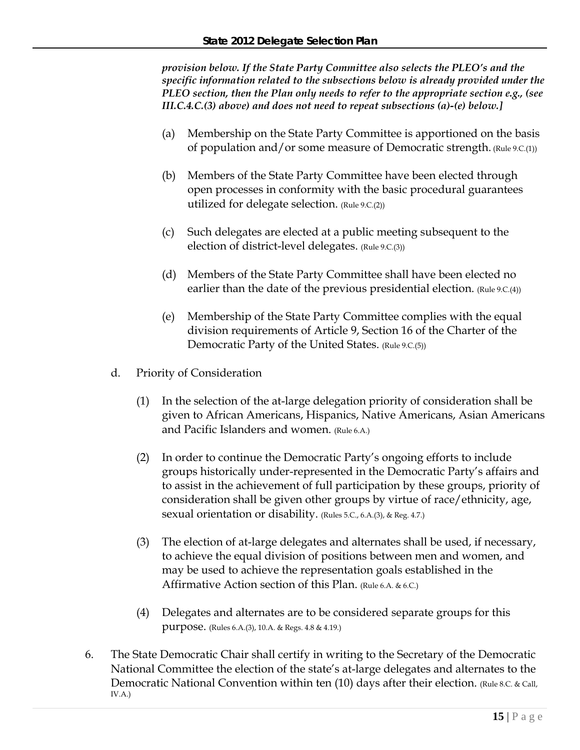*provision below. If the State Party Committee also selects the PLEO's and the specific information related to the subsections below is already provided under the PLEO section, then the Plan only needs to refer to the appropriate section e.g., (see III.C.4.C.(3) above) and does not need to repeat subsections (a)-(e) below.]*

- (a) Membership on the State Party Committee is apportioned on the basis of population and/or some measure of Democratic strength. (Rule 9.C.(1))
- (b) Members of the State Party Committee have been elected through open processes in conformity with the basic procedural guarantees utilized for delegate selection. (Rule 9.C.(2))
- (c) Such delegates are elected at a public meeting subsequent to the election of district-level delegates. (Rule 9.C.(3))
- (d) Members of the State Party Committee shall have been elected no earlier than the date of the previous presidential election. (Rule 9.C.(4))
- (e) Membership of the State Party Committee complies with the equal division requirements of Article 9, Section 16 of the Charter of the Democratic Party of the United States. (Rule 9.C.(5))
- d. Priority of Consideration
	- (1) In the selection of the at-large delegation priority of consideration shall be given to African Americans, Hispanics, Native Americans, Asian Americans and Pacific Islanders and women. (Rule 6.A.)
	- (2) In order to continue the Democratic Party's ongoing efforts to include groups historically under-represented in the Democratic Party's affairs and to assist in the achievement of full participation by these groups, priority of consideration shall be given other groups by virtue of race/ethnicity, age, sexual orientation or disability. (Rules 5.C., 6.A.(3), & Reg. 4.7.)
	- (3) The election of at-large delegates and alternates shall be used, if necessary, to achieve the equal division of positions between men and women, and may be used to achieve the representation goals established in the Affirmative Action section of this Plan. (Rule 6.A. & 6.C.)
	- (4) Delegates and alternates are to be considered separate groups for this purpose. (Rules 6.A.(3), 10.A. & Regs. 4.8 & 4.19.)
- 6. The State Democratic Chair shall certify in writing to the Secretary of the Democratic National Committee the election of the state's at-large delegates and alternates to the Democratic National Convention within ten (10) days after their election. (Rule 8.C. & Call, IV.A.)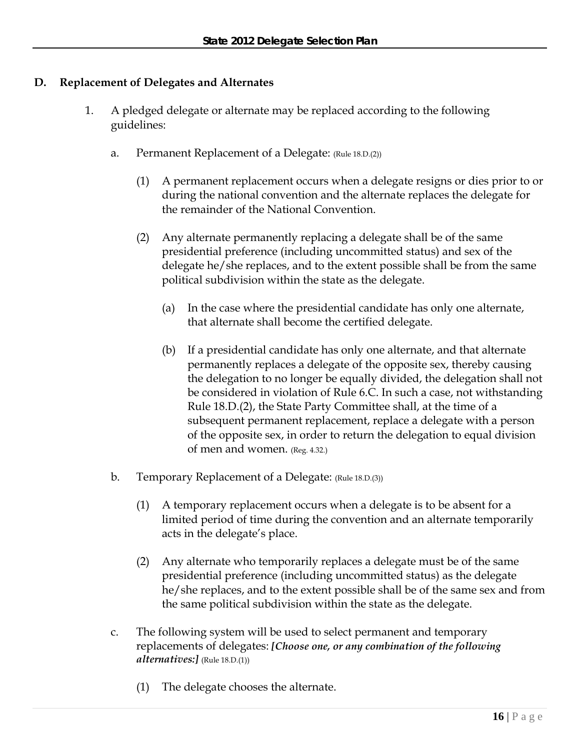# **D. Replacement of Delegates and Alternates**

- 1. A pledged delegate or alternate may be replaced according to the following guidelines:
	- a. Permanent Replacement of a Delegate: (Rule 18.D.(2))
		- (1) A permanent replacement occurs when a delegate resigns or dies prior to or during the national convention and the alternate replaces the delegate for the remainder of the National Convention.
		- (2) Any alternate permanently replacing a delegate shall be of the same presidential preference (including uncommitted status) and sex of the delegate he/she replaces, and to the extent possible shall be from the same political subdivision within the state as the delegate.
			- (a) In the case where the presidential candidate has only one alternate, that alternate shall become the certified delegate.
			- (b) If a presidential candidate has only one alternate, and that alternate permanently replaces a delegate of the opposite sex, thereby causing the delegation to no longer be equally divided, the delegation shall not be considered in violation of Rule 6.C. In such a case, not withstanding Rule 18.D.(2), the State Party Committee shall, at the time of a subsequent permanent replacement, replace a delegate with a person of the opposite sex, in order to return the delegation to equal division of men and women. (Reg. 4.32.)
	- b. Temporary Replacement of a Delegate: (Rule 18.D.(3))
		- (1) A temporary replacement occurs when a delegate is to be absent for a limited period of time during the convention and an alternate temporarily acts in the delegate's place.
		- (2) Any alternate who temporarily replaces a delegate must be of the same presidential preference (including uncommitted status) as the delegate he/she replaces, and to the extent possible shall be of the same sex and from the same political subdivision within the state as the delegate.
	- c. The following system will be used to select permanent and temporary replacements of delegates: *[Choose one, or any combination of the following alternatives:]* (Rule 18.D.(1))
		- (1) The delegate chooses the alternate.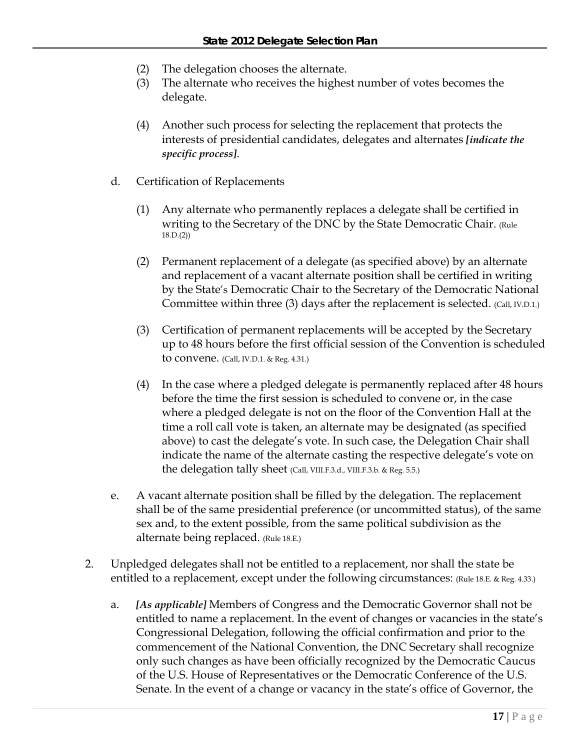- (2) The delegation chooses the alternate.
- (3) The alternate who receives the highest number of votes becomes the delegate.
- (4) Another such process for selecting the replacement that protects the interests of presidential candidates, delegates and alternates *[indicate the specific process]*.
- d. Certification of Replacements
	- (1) Any alternate who permanently replaces a delegate shall be certified in writing to the Secretary of the DNC by the State Democratic Chair. (Rule 18.D.(2))
	- (2) Permanent replacement of a delegate (as specified above) by an alternate and replacement of a vacant alternate position shall be certified in writing by the State's Democratic Chair to the Secretary of the Democratic National Committee within three (3) days after the replacement is selected. (Call, IV.D.1.)
	- (3) Certification of permanent replacements will be accepted by the Secretary up to 48 hours before the first official session of the Convention is scheduled to convene. (Call, IV.D.1. & Reg. 4.31.)
	- (4) In the case where a pledged delegate is permanently replaced after 48 hours before the time the first session is scheduled to convene or, in the case where a pledged delegate is not on the floor of the Convention Hall at the time a roll call vote is taken, an alternate may be designated (as specified above) to cast the delegate's vote. In such case, the Delegation Chair shall indicate the name of the alternate casting the respective delegate's vote on the delegation tally sheet (Call, VIII.F.3.d., VIII.F.3.b. & Reg. 5.5.)
- e. A vacant alternate position shall be filled by the delegation. The replacement shall be of the same presidential preference (or uncommitted status), of the same sex and, to the extent possible, from the same political subdivision as the alternate being replaced. (Rule 18.E.)
- 2. Unpledged delegates shall not be entitled to a replacement, nor shall the state be entitled to a replacement, except under the following circumstances: (Rule 18.E. & Reg. 4.33.)
	- a. *[As applicable]* Members of Congress and the Democratic Governor shall not be entitled to name a replacement. In the event of changes or vacancies in the state's Congressional Delegation, following the official confirmation and prior to the commencement of the National Convention, the DNC Secretary shall recognize only such changes as have been officially recognized by the Democratic Caucus of the U.S. House of Representatives or the Democratic Conference of the U.S. Senate. In the event of a change or vacancy in the state's office of Governor, the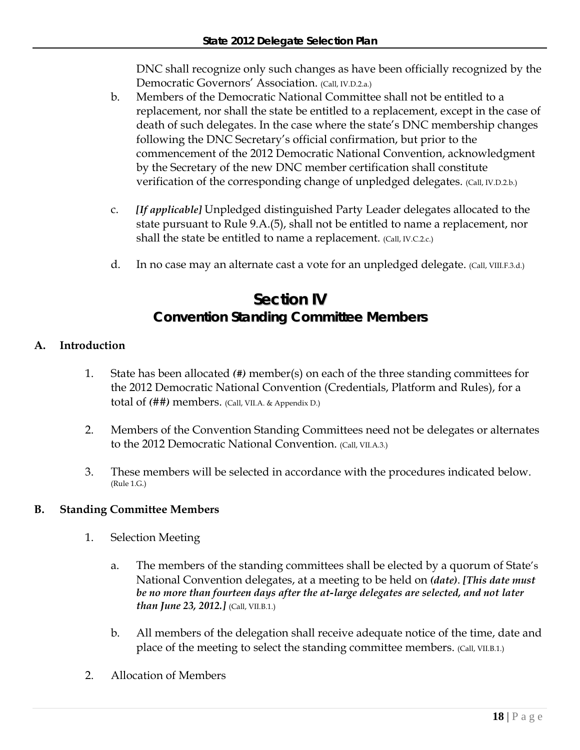DNC shall recognize only such changes as have been officially recognized by the Democratic Governors' Association. (Call, IV.D.2.a.)

- b. Members of the Democratic National Committee shall not be entitled to a replacement, nor shall the state be entitled to a replacement, except in the case of death of such delegates. In the case where the state's DNC membership changes following the DNC Secretary's official confirmation, but prior to the commencement of the 2012 Democratic National Convention, acknowledgment by the Secretary of the new DNC member certification shall constitute verification of the corresponding change of unpledged delegates. (Call, IV.D.2.b.)
- c. *[If applicable]* Unpledged distinguished Party Leader delegates allocated to the state pursuant to Rule 9.A.(5), shall not be entitled to name a replacement, nor shall the state be entitled to name a replacement. (Call, IV.C.2.c.)
- d. In no case may an alternate cast a vote for an unpledged delegate. (Call, VIII.F.3.d.)

# **Section IV Convention Standing Committee Members**

# **A. Introduction**

- 1. State has been allocated *(#)* member(s) on each of the three standing committees for the 2012 Democratic National Convention (Credentials, Platform and Rules), for a total of *(*##*)* members. (Call, VII.A. & Appendix D.)
- 2. Members of the Convention Standing Committees need not be delegates or alternates to the 2012 Democratic National Convention. (Call, VII.A.3.)
- 3. These members will be selected in accordance with the procedures indicated below. (Rule 1.G.)

# **B. Standing Committee Members**

- 1. Selection Meeting
	- a. The members of the standing committees shall be elected by a quorum of State's National Convention delegates, at a meeting to be held on *(date)*. *[This date must be no more than fourteen days after the at-large delegates are selected, and not later than June 23, 2012.]* (Call, VII.B.1.)
	- b. All members of the delegation shall receive adequate notice of the time, date and place of the meeting to select the standing committee members. (Call, VII.B.1.)
- 2. Allocation of Members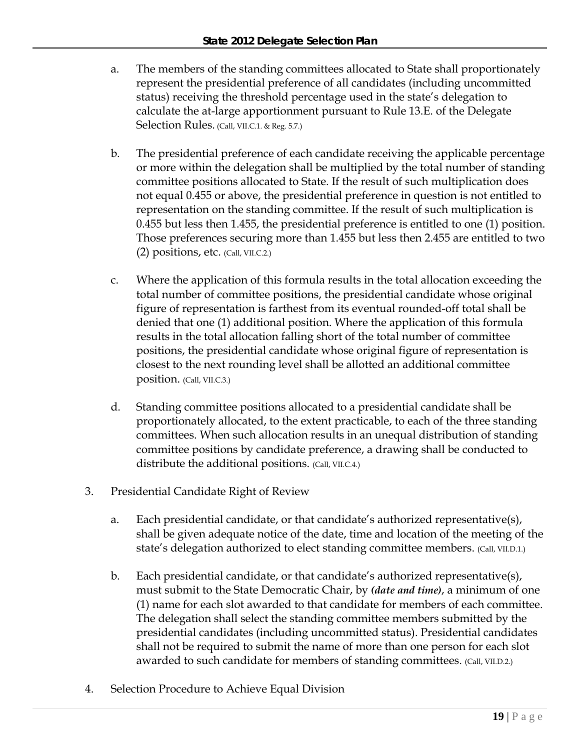- a. The members of the standing committees allocated to State shall proportionately represent the presidential preference of all candidates (including uncommitted status) receiving the threshold percentage used in the state's delegation to calculate the at-large apportionment pursuant to Rule 13.E. of the Delegate Selection Rules. (Call, VII.C.1. & Reg. 5.7.)
- b. The presidential preference of each candidate receiving the applicable percentage or more within the delegation shall be multiplied by the total number of standing committee positions allocated to State. If the result of such multiplication does not equal 0.455 or above, the presidential preference in question is not entitled to representation on the standing committee. If the result of such multiplication is 0.455 but less then 1.455, the presidential preference is entitled to one (1) position. Those preferences securing more than 1.455 but less then 2.455 are entitled to two (2) positions, etc. (Call, VII.C.2.)
- c. Where the application of this formula results in the total allocation exceeding the total number of committee positions, the presidential candidate whose original figure of representation is farthest from its eventual rounded-off total shall be denied that one (1) additional position. Where the application of this formula results in the total allocation falling short of the total number of committee positions, the presidential candidate whose original figure of representation is closest to the next rounding level shall be allotted an additional committee position. (Call, VII.C.3.)
- d. Standing committee positions allocated to a presidential candidate shall be proportionately allocated, to the extent practicable, to each of the three standing committees. When such allocation results in an unequal distribution of standing committee positions by candidate preference, a drawing shall be conducted to distribute the additional positions. (Call, VII.C.4.)
- 3. Presidential Candidate Right of Review
	- a. Each presidential candidate, or that candidate's authorized representative(s), shall be given adequate notice of the date, time and location of the meeting of the state's delegation authorized to elect standing committee members. (Call, VII.D.1.)
	- b. Each presidential candidate, or that candidate's authorized representative(s), must submit to the State Democratic Chair, by *(date and time)*, a minimum of one (1) name for each slot awarded to that candidate for members of each committee. The delegation shall select the standing committee members submitted by the presidential candidates (including uncommitted status). Presidential candidates shall not be required to submit the name of more than one person for each slot awarded to such candidate for members of standing committees. (Call, VII.D.2.)
- 4. Selection Procedure to Achieve Equal Division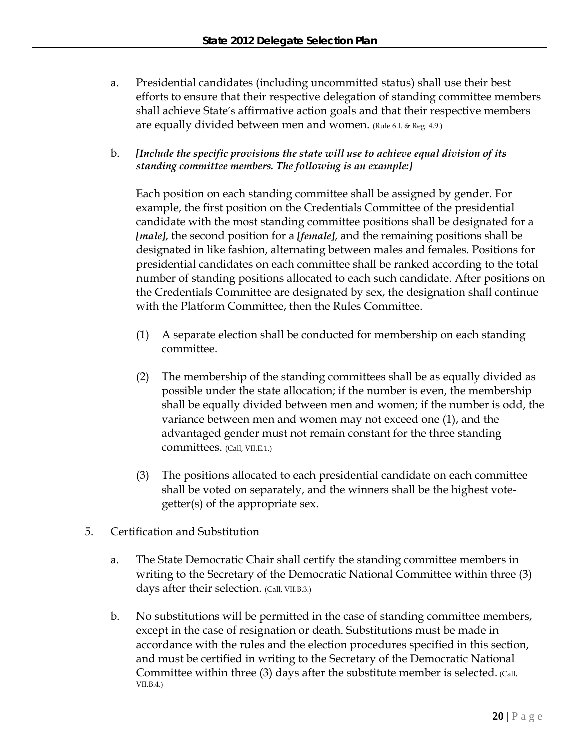- a. Presidential candidates (including uncommitted status) shall use their best efforts to ensure that their respective delegation of standing committee members shall achieve State's affirmative action goals and that their respective members are equally divided between men and women. (Rule 6.I. & Reg. 4.9.)
- b. *[Include the specific provisions the state will use to achieve equal division of its standing committee members. The following is an example:]*

Each position on each standing committee shall be assigned by gender. For example, the first position on the Credentials Committee of the presidential candidate with the most standing committee positions shall be designated for a *[male]*, the second position for a *[female]*, and the remaining positions shall be designated in like fashion, alternating between males and females. Positions for presidential candidates on each committee shall be ranked according to the total number of standing positions allocated to each such candidate. After positions on the Credentials Committee are designated by sex, the designation shall continue with the Platform Committee, then the Rules Committee.

- (1) A separate election shall be conducted for membership on each standing committee.
- (2) The membership of the standing committees shall be as equally divided as possible under the state allocation; if the number is even, the membership shall be equally divided between men and women; if the number is odd, the variance between men and women may not exceed one (1), and the advantaged gender must not remain constant for the three standing committees. (Call, VII.E.1.)
- (3) The positions allocated to each presidential candidate on each committee shall be voted on separately, and the winners shall be the highest votegetter(s) of the appropriate sex.
- 5. Certification and Substitution
	- a. The State Democratic Chair shall certify the standing committee members in writing to the Secretary of the Democratic National Committee within three (3) days after their selection. (Call, VII.B.3.)
	- b. No substitutions will be permitted in the case of standing committee members, except in the case of resignation or death. Substitutions must be made in accordance with the rules and the election procedures specified in this section, and must be certified in writing to the Secretary of the Democratic National Committee within three (3) days after the substitute member is selected. (Call, VII.B.4.)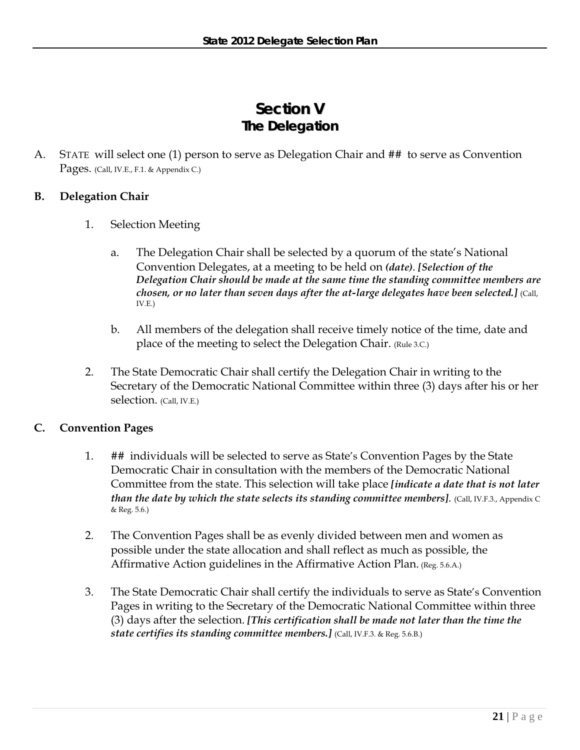# **Section V The Delegation**

A. STATE will select one (1) person to serve as Delegation Chair and ## to serve as Convention Pages. (Call, IV.E., F.1. & Appendix C.)

# **B. Delegation Chair**

- 1. Selection Meeting
	- a. The Delegation Chair shall be selected by a quorum of the state's National Convention Delegates, at a meeting to be held on *(date)*. *[Selection of the Delegation Chair should be made at the same time the standing committee members are chosen, or no later than seven days after the at-large delegates have been selected.*] (Call, IV.E.)
	- b. All members of the delegation shall receive timely notice of the time, date and place of the meeting to select the Delegation Chair. (Rule 3.C.)
- 2. The State Democratic Chair shall certify the Delegation Chair in writing to the Secretary of the Democratic National Committee within three (3) days after his or her selection. (Call, IV.E.)

# **C. Convention Pages**

- 1. ## individuals will be selected to serve as State's Convention Pages by the State Democratic Chair in consultation with the members of the Democratic National Committee from the state. This selection will take place *[indicate a date that is not later than the date by which the state selects its standing committee members]*. (Call, IV.F.3., Appendix C & Reg. 5.6.)
- 2. The Convention Pages shall be as evenly divided between men and women as possible under the state allocation and shall reflect as much as possible, the Affirmative Action guidelines in the Affirmative Action Plan. (Reg. 5.6.A.)
- 3. The State Democratic Chair shall certify the individuals to serve as State's Convention Pages in writing to the Secretary of the Democratic National Committee within three (3) days after the selection. *[This certification shall be made not later than the time the state certifies its standing committee members.]* (Call, IV.F.3. & Reg. 5.6.B.)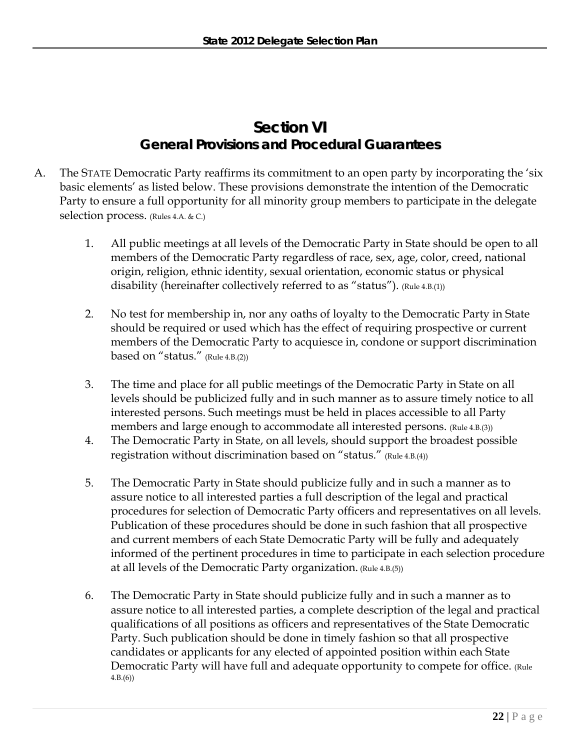# **Section VI General Provisions and Procedural Guarantees**

- A. The STATE Democratic Party reaffirms its commitment to an open party by incorporating the 'six basic elements' as listed below. These provisions demonstrate the intention of the Democratic Party to ensure a full opportunity for all minority group members to participate in the delegate selection process. (Rules 4.A. & C.)
	- 1. All public meetings at all levels of the Democratic Party in State should be open to all members of the Democratic Party regardless of race, sex, age, color, creed, national origin, religion, ethnic identity, sexual orientation, economic status or physical disability (hereinafter collectively referred to as "status"). (Rule 4.B.(1))
	- 2. No test for membership in, nor any oaths of loyalty to the Democratic Party in State should be required or used which has the effect of requiring prospective or current members of the Democratic Party to acquiesce in, condone or support discrimination based on "status." (Rule 4.B.(2))
	- 3. The time and place for all public meetings of the Democratic Party in State on all levels should be publicized fully and in such manner as to assure timely notice to all interested persons. Such meetings must be held in places accessible to all Party members and large enough to accommodate all interested persons. (Rule 4.B.(3))
	- 4. The Democratic Party in State, on all levels, should support the broadest possible registration without discrimination based on "status." (Rule 4.B.(4))
	- 5. The Democratic Party in State should publicize fully and in such a manner as to assure notice to all interested parties a full description of the legal and practical procedures for selection of Democratic Party officers and representatives on all levels. Publication of these procedures should be done in such fashion that all prospective and current members of each State Democratic Party will be fully and adequately informed of the pertinent procedures in time to participate in each selection procedure at all levels of the Democratic Party organization. (Rule 4.B.(5))
	- 6. The Democratic Party in State should publicize fully and in such a manner as to assure notice to all interested parties, a complete description of the legal and practical qualifications of all positions as officers and representatives of the State Democratic Party. Such publication should be done in timely fashion so that all prospective candidates or applicants for any elected of appointed position within each State Democratic Party will have full and adequate opportunity to compete for office. (Rule 4.B.(6))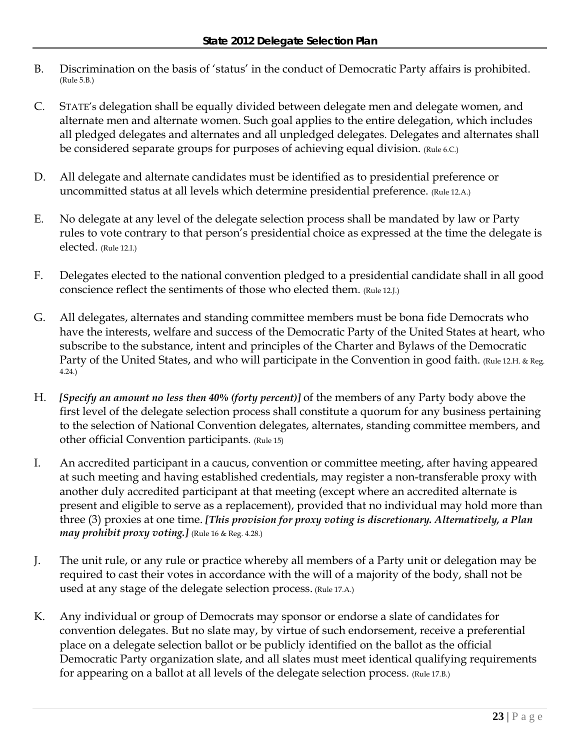- B. Discrimination on the basis of 'status' in the conduct of Democratic Party affairs is prohibited. (Rule 5.B.)
- C. STATE's delegation shall be equally divided between delegate men and delegate women, and alternate men and alternate women. Such goal applies to the entire delegation, which includes all pledged delegates and alternates and all unpledged delegates. Delegates and alternates shall be considered separate groups for purposes of achieving equal division. (Rule 6.C.)
- D. All delegate and alternate candidates must be identified as to presidential preference or uncommitted status at all levels which determine presidential preference. (Rule 12.A.)
- E. No delegate at any level of the delegate selection process shall be mandated by law or Party rules to vote contrary to that person's presidential choice as expressed at the time the delegate is elected. (Rule 12.I.)
- F. Delegates elected to the national convention pledged to a presidential candidate shall in all good conscience reflect the sentiments of those who elected them. (Rule 12.J.)
- G. All delegates, alternates and standing committee members must be bona fide Democrats who have the interests, welfare and success of the Democratic Party of the United States at heart, who subscribe to the substance, intent and principles of the Charter and Bylaws of the Democratic Party of the United States, and who will participate in the Convention in good faith. (Rule 12.H. & Reg. 4.24.)
- H. *[Specify an amount no less then 40% (forty percent)]* of the members of any Party body above the first level of the delegate selection process shall constitute a quorum for any business pertaining to the selection of National Convention delegates, alternates, standing committee members, and other official Convention participants. (Rule 15)
- I. An accredited participant in a caucus, convention or committee meeting, after having appeared at such meeting and having established credentials, may register a non-transferable proxy with another duly accredited participant at that meeting (except where an accredited alternate is present and eligible to serve as a replacement), provided that no individual may hold more than three (3) proxies at one time. *[This provision for proxy voting is discretionary. Alternatively, a Plan may prohibit proxy voting.]* (Rule 16 & Reg. 4.28.)
- J. The unit rule, or any rule or practice whereby all members of a Party unit or delegation may be required to cast their votes in accordance with the will of a majority of the body, shall not be used at any stage of the delegate selection process. (Rule 17.A.)
- K. Any individual or group of Democrats may sponsor or endorse a slate of candidates for convention delegates. But no slate may, by virtue of such endorsement, receive a preferential place on a delegate selection ballot or be publicly identified on the ballot as the official Democratic Party organization slate, and all slates must meet identical qualifying requirements for appearing on a ballot at all levels of the delegate selection process. (Rule 17.B.)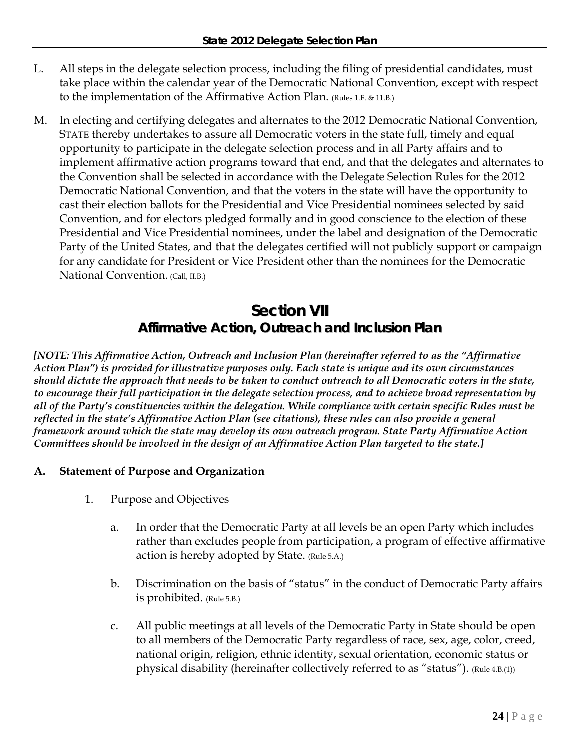- L. All steps in the delegate selection process, including the filing of presidential candidates, must take place within the calendar year of the Democratic National Convention, except with respect to the implementation of the Affirmative Action Plan. (Rules 1.F. & 11.B.)
- M. In electing and certifying delegates and alternates to the 2012 Democratic National Convention, STATE thereby undertakes to assure all Democratic voters in the state full, timely and equal opportunity to participate in the delegate selection process and in all Party affairs and to implement affirmative action programs toward that end, and that the delegates and alternates to the Convention shall be selected in accordance with the Delegate Selection Rules for the 2012 Democratic National Convention, and that the voters in the state will have the opportunity to cast their election ballots for the Presidential and Vice Presidential nominees selected by said Convention, and for electors pledged formally and in good conscience to the election of these Presidential and Vice Presidential nominees, under the label and designation of the Democratic Party of the United States, and that the delegates certified will not publicly support or campaign for any candidate for President or Vice President other than the nominees for the Democratic National Convention. (Call, II.B.)

# **Section VII Affirmative Action, Outreach and Inclusion Plan**

*[NOTE: This Affirmative Action, Outreach and Inclusion Plan (hereinafter referred to as the "Affirmative Action Plan") is provided for illustrative purposes only. Each state is unique and its own circumstances should dictate the approach that needs to be taken to conduct outreach to all Democratic voters in the state, to encourage their full participation in the delegate selection process, and to achieve broad representation by all of the Party's constituencies within the delegation. While compliance with certain specific Rules must be reflected in the state's Affirmative Action Plan (see citations), these rules can also provide a general framework around which the state may develop its own outreach program. State Party Affirmative Action Committees should be involved in the design of an Affirmative Action Plan targeted to the state.]* 

# **A. Statement of Purpose and Organization**

- 1. Purpose and Objectives
	- a. In order that the Democratic Party at all levels be an open Party which includes rather than excludes people from participation, a program of effective affirmative action is hereby adopted by State. (Rule 5.A.)
	- b. Discrimination on the basis of "status" in the conduct of Democratic Party affairs is prohibited. (Rule 5.B.)
	- c. All public meetings at all levels of the Democratic Party in State should be open to all members of the Democratic Party regardless of race, sex, age, color, creed, national origin, religion, ethnic identity, sexual orientation, economic status or physical disability (hereinafter collectively referred to as "status"). (Rule 4.B.(1))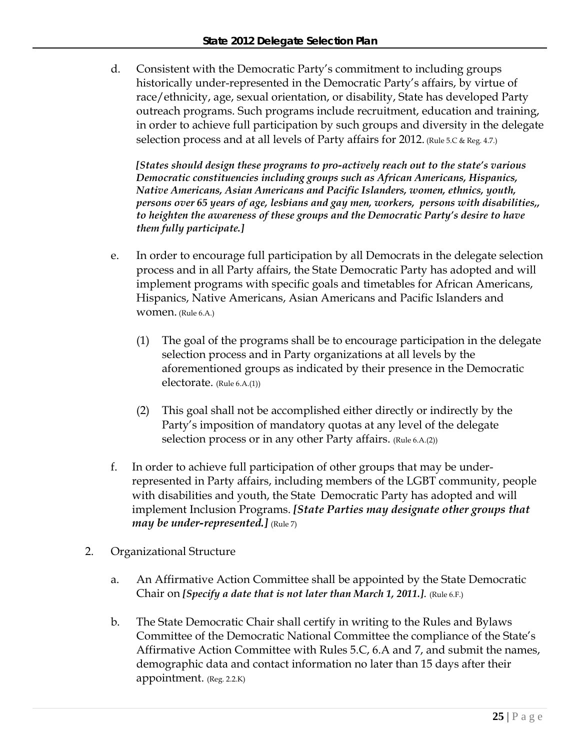d. Consistent with the Democratic Party's commitment to including groups historically under-represented in the Democratic Party's affairs, by virtue of race/ethnicity, age, sexual orientation, or disability, State has developed Party outreach programs. Such programs include recruitment, education and training, in order to achieve full participation by such groups and diversity in the delegate selection process and at all levels of Party affairs for 2012. (Rule 5.C & Reg. 4.7.)

*[States should design these programs to pro-actively reach out to the state's various Democratic constituencies including groups such as African Americans, Hispanics, Native Americans, Asian Americans and Pacific Islanders, women, ethnics, youth, persons over 65 years of age, lesbians and gay men, workers, persons with disabilities,, to heighten the awareness of these groups and the Democratic Party's desire to have them fully participate.]*

- e. In order to encourage full participation by all Democrats in the delegate selection process and in all Party affairs, the State Democratic Party has adopted and will implement programs with specific goals and timetables for African Americans, Hispanics, Native Americans, Asian Americans and Pacific Islanders and women. (Rule 6.A.)
	- (1) The goal of the programs shall be to encourage participation in the delegate selection process and in Party organizations at all levels by the aforementioned groups as indicated by their presence in the Democratic electorate. (Rule 6.A.(1))
	- (2) This goal shall not be accomplished either directly or indirectly by the Party's imposition of mandatory quotas at any level of the delegate selection process or in any other Party affairs. (Rule 6.A.(2))
- f. In order to achieve full participation of other groups that may be underrepresented in Party affairs, including members of the LGBT community, people with disabilities and youth, the State Democratic Party has adopted and will implement Inclusion Programs. *[State Parties may designate other groups that may be under-represented.]* (Rule 7)
- 2. Organizational Structure
	- a. An Affirmative Action Committee shall be appointed by the State Democratic Chair on *[Specify a date that is not later than March 1, 2011.]*. (Rule 6.F.)
	- b. The State Democratic Chair shall certify in writing to the Rules and Bylaws Committee of the Democratic National Committee the compliance of the State's Affirmative Action Committee with Rules 5.C, 6.A and 7, and submit the names, demographic data and contact information no later than 15 days after their appointment. (Reg. 2.2.K)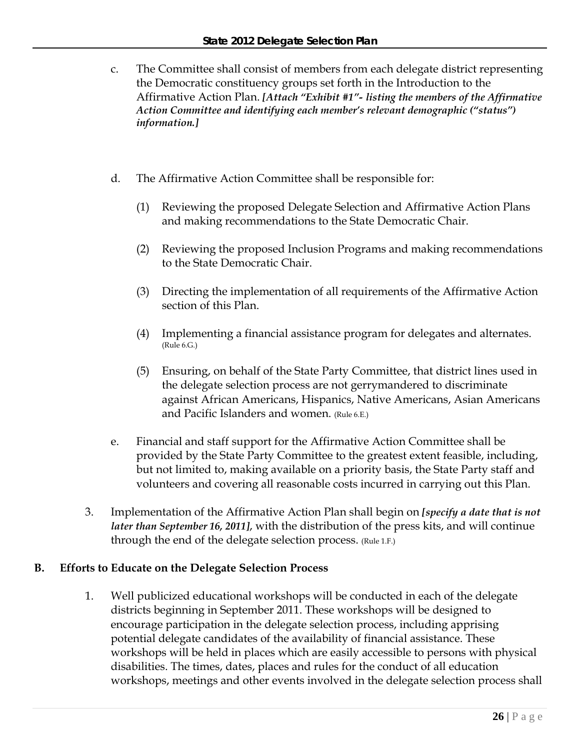- c. The Committee shall consist of members from each delegate district representing the Democratic constituency groups set forth in the Introduction to the Affirmative Action Plan. *[Attach "Exhibit #1"- listing the members of the Affirmative Action Committee and identifying each member's relevant demographic ("status") information.]*
- d. The Affirmative Action Committee shall be responsible for:
	- (1) Reviewing the proposed Delegate Selection and Affirmative Action Plans and making recommendations to the State Democratic Chair.
	- (2) Reviewing the proposed Inclusion Programs and making recommendations to the State Democratic Chair.
	- (3) Directing the implementation of all requirements of the Affirmative Action section of this Plan.
	- (4) Implementing a financial assistance program for delegates and alternates. (Rule 6.G.)
	- (5) Ensuring, on behalf of the State Party Committee, that district lines used in the delegate selection process are not gerrymandered to discriminate against African Americans, Hispanics, Native Americans, Asian Americans and Pacific Islanders and women. (Rule 6.E.)
- e. Financial and staff support for the Affirmative Action Committee shall be provided by the State Party Committee to the greatest extent feasible, including, but not limited to, making available on a priority basis, the State Party staff and volunteers and covering all reasonable costs incurred in carrying out this Plan.
- 3. Implementation of the Affirmative Action Plan shall begin on *[specify a date that is not later than September 16, 2011]*, with the distribution of the press kits, and will continue through the end of the delegate selection process. (Rule 1.F.)

# **B. Efforts to Educate on the Delegate Selection Process**

1. Well publicized educational workshops will be conducted in each of the delegate districts beginning in September 2011. These workshops will be designed to encourage participation in the delegate selection process, including apprising potential delegate candidates of the availability of financial assistance. These workshops will be held in places which are easily accessible to persons with physical disabilities. The times, dates, places and rules for the conduct of all education workshops, meetings and other events involved in the delegate selection process shall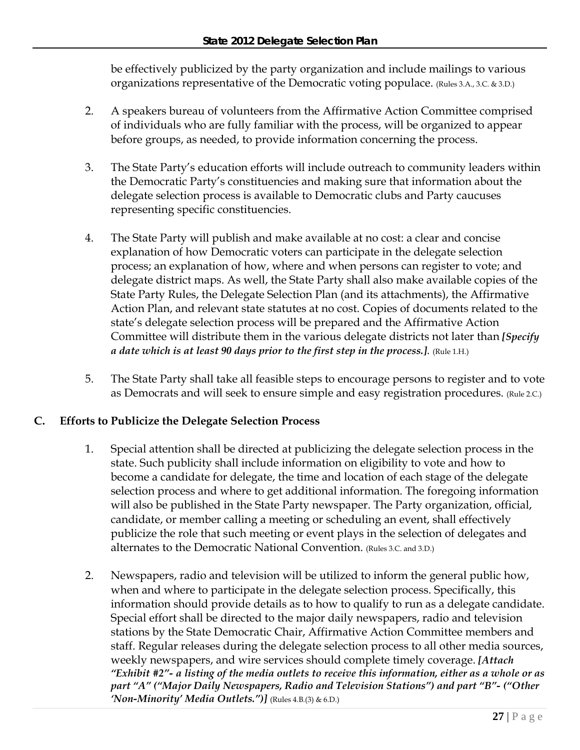be effectively publicized by the party organization and include mailings to various organizations representative of the Democratic voting populace. (Rules 3.A., 3.C. & 3.D.)

- 2. A speakers bureau of volunteers from the Affirmative Action Committee comprised of individuals who are fully familiar with the process, will be organized to appear before groups, as needed, to provide information concerning the process.
- 3. The State Party's education efforts will include outreach to community leaders within the Democratic Party's constituencies and making sure that information about the delegate selection process is available to Democratic clubs and Party caucuses representing specific constituencies.
- 4. The State Party will publish and make available at no cost: a clear and concise explanation of how Democratic voters can participate in the delegate selection process; an explanation of how, where and when persons can register to vote; and delegate district maps. As well, the State Party shall also make available copies of the State Party Rules, the Delegate Selection Plan (and its attachments), the Affirmative Action Plan, and relevant state statutes at no cost. Copies of documents related to the state's delegate selection process will be prepared and the Affirmative Action Committee will distribute them in the various delegate districts not later than *[Specify a date which is at least 90 days prior to the first step in the process.]*. (Rule 1.H.)
- 5. The State Party shall take all feasible steps to encourage persons to register and to vote as Democrats and will seek to ensure simple and easy registration procedures. (Rule 2.C.)

# **C. Efforts to Publicize the Delegate Selection Process**

- 1. Special attention shall be directed at publicizing the delegate selection process in the state. Such publicity shall include information on eligibility to vote and how to become a candidate for delegate, the time and location of each stage of the delegate selection process and where to get additional information. The foregoing information will also be published in the State Party newspaper. The Party organization, official, candidate, or member calling a meeting or scheduling an event, shall effectively publicize the role that such meeting or event plays in the selection of delegates and alternates to the Democratic National Convention. (Rules 3.C. and 3.D.)
- 2. Newspapers, radio and television will be utilized to inform the general public how, when and where to participate in the delegate selection process. Specifically, this information should provide details as to how to qualify to run as a delegate candidate. Special effort shall be directed to the major daily newspapers, radio and television stations by the State Democratic Chair, Affirmative Action Committee members and staff. Regular releases during the delegate selection process to all other media sources, weekly newspapers, and wire services should complete timely coverage. *[Attach "Exhibit #2"- a listing of the media outlets to receive this information, either as a whole or as part "A" ("Major Daily Newspapers, Radio and Television Stations") and part "B"- ("Other 'Non-Minority' Media Outlets.")]* (Rules 4.B.(3) & 6.D.)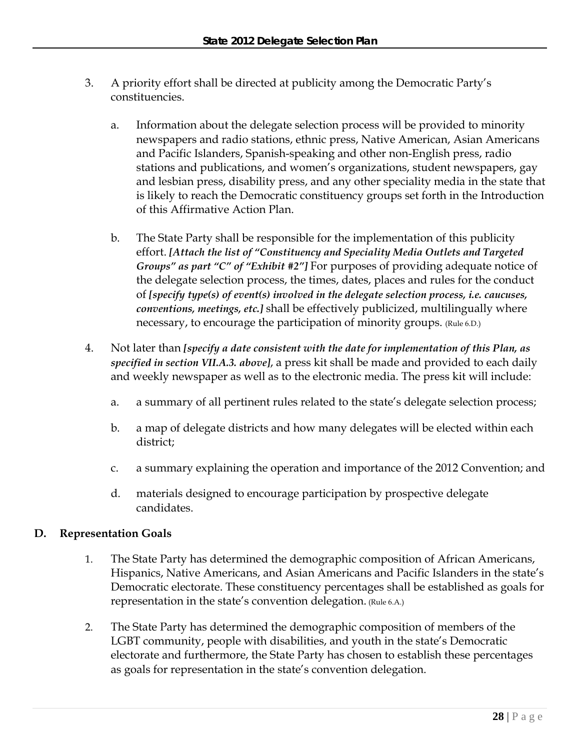- 3. A priority effort shall be directed at publicity among the Democratic Party's constituencies.
	- a. Information about the delegate selection process will be provided to minority newspapers and radio stations, ethnic press, Native American, Asian Americans and Pacific Islanders, Spanish-speaking and other non-English press, radio stations and publications, and women's organizations, student newspapers, gay and lesbian press, disability press, and any other speciality media in the state that is likely to reach the Democratic constituency groups set forth in the Introduction of this Affirmative Action Plan.
	- b. The State Party shall be responsible for the implementation of this publicity effort. *[Attach the list of "Constituency and Speciality Media Outlets and Targeted Groups" as part "C" of "Exhibit #2"]* For purposes of providing adequate notice of the delegate selection process, the times, dates, places and rules for the conduct of *[specify type(s) of event(s) involved in the delegate selection process, i.e. caucuses, conventions, meetings, etc.]* shall be effectively publicized, multilingually where necessary, to encourage the participation of minority groups. (Rule 6.D.)
- 4. Not later than *[specify a date consistent with the date for implementation of this Plan, as specified in section VII.A.3. above]*, a press kit shall be made and provided to each daily and weekly newspaper as well as to the electronic media. The press kit will include:
	- a. a summary of all pertinent rules related to the state's delegate selection process;
	- b. a map of delegate districts and how many delegates will be elected within each district;
	- c. a summary explaining the operation and importance of the 2012 Convention; and
	- d. materials designed to encourage participation by prospective delegate candidates.

# **D. Representation Goals**

- 1. The State Party has determined the demographic composition of African Americans, Hispanics, Native Americans, and Asian Americans and Pacific Islanders in the state's Democratic electorate. These constituency percentages shall be established as goals for representation in the state's convention delegation. (Rule 6.A.)
- 2. The State Party has determined the demographic composition of members of the LGBT community, people with disabilities, and youth in the state's Democratic electorate and furthermore, the State Party has chosen to establish these percentages as goals for representation in the state's convention delegation.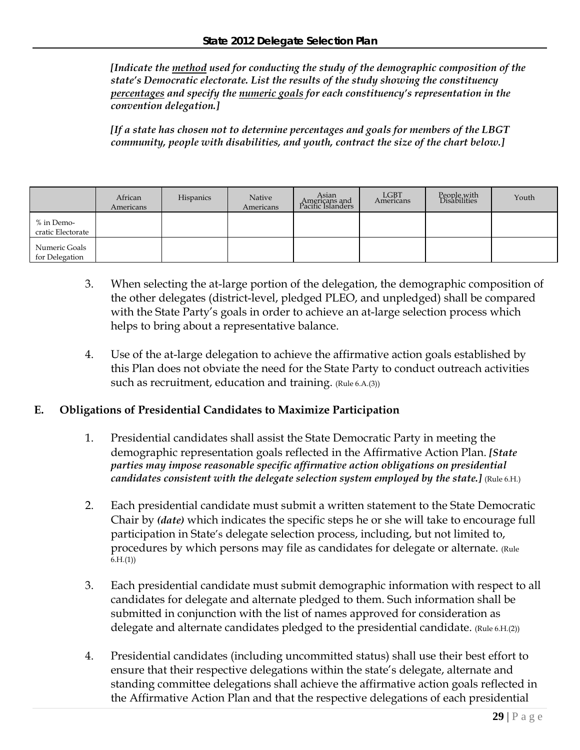*[Indicate the method used for conducting the study of the demographic composition of the state's Democratic electorate. List the results of the study showing the constituency percentages and specify the numeric goals for each constituency's representation in the convention delegation.]* 

*[If a state has chosen not to determine percentages and goals for members of the LBGT community, people with disabilities, and youth, contract the size of the chart below.]* 

|                                 | African<br>Americans | <b>Hispanics</b> | Native<br>Americans | Asian<br>Americans and<br>Pacific Islanders | LGBT<br>Americans | People with<br>Disabilities | Youth |
|---------------------------------|----------------------|------------------|---------------------|---------------------------------------------|-------------------|-----------------------------|-------|
| % in Demo-<br>cratic Electorate |                      |                  |                     |                                             |                   |                             |       |
| Numeric Goals<br>for Delegation |                      |                  |                     |                                             |                   |                             |       |

- 3. When selecting the at-large portion of the delegation, the demographic composition of the other delegates (district-level, pledged PLEO, and unpledged) shall be compared with the State Party's goals in order to achieve an at-large selection process which helps to bring about a representative balance.
- 4. Use of the at-large delegation to achieve the affirmative action goals established by this Plan does not obviate the need for the State Party to conduct outreach activities such as recruitment, education and training. (Rule 6.A.(3))

## **E. Obligations of Presidential Candidates to Maximize Participation**

- 1. Presidential candidates shall assist the State Democratic Party in meeting the demographic representation goals reflected in the Affirmative Action Plan. *[State parties may impose reasonable specific affirmative action obligations on presidential candidates consistent with the delegate selection system employed by the state.]* (Rule 6.H.)
- 2. Each presidential candidate must submit a written statement to the State Democratic Chair by *(date)* which indicates the specific steps he or she will take to encourage full participation in State's delegate selection process, including, but not limited to, procedures by which persons may file as candidates for delegate or alternate. (Rule  $6.H.(1)$
- 3. Each presidential candidate must submit demographic information with respect to all candidates for delegate and alternate pledged to them. Such information shall be submitted in conjunction with the list of names approved for consideration as delegate and alternate candidates pledged to the presidential candidate. (Rule 6.H.(2))
- 4. Presidential candidates (including uncommitted status) shall use their best effort to ensure that their respective delegations within the state's delegate, alternate and standing committee delegations shall achieve the affirmative action goals reflected in the Affirmative Action Plan and that the respective delegations of each presidential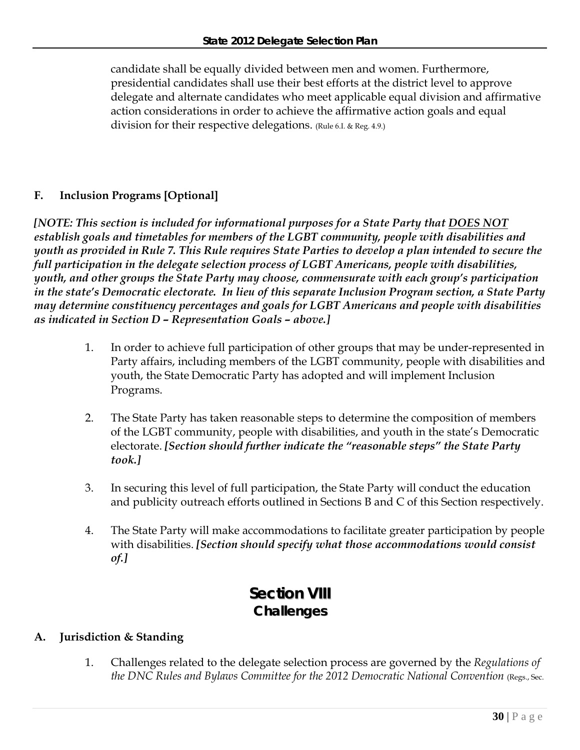candidate shall be equally divided between men and women. Furthermore, presidential candidates shall use their best efforts at the district level to approve delegate and alternate candidates who meet applicable equal division and affirmative action considerations in order to achieve the affirmative action goals and equal division for their respective delegations. (Rule 6.I. & Reg. 4.9.)

# **F. Inclusion Programs [Optional]**

*[NOTE: This section is included for informational purposes for a State Party that DOES NOT establish goals and timetables for members of the LGBT community, people with disabilities and youth as provided in Rule 7. This Rule requires State Parties to develop a plan intended to secure the full participation in the delegate selection process of LGBT Americans, people with disabilities, youth, and other groups the State Party may choose, commensurate with each group's participation in the state's Democratic electorate. In lieu of this separate Inclusion Program section, a State Party may determine constituency percentages and goals for LGBT Americans and people with disabilities as indicated in Section D – Representation Goals – above.]* 

- 1. In order to achieve full participation of other groups that may be under-represented in Party affairs, including members of the LGBT community, people with disabilities and youth, the State Democratic Party has adopted and will implement Inclusion Programs.
- 2. The State Party has taken reasonable steps to determine the composition of members of the LGBT community, people with disabilities, and youth in the state's Democratic electorate. *[Section should further indicate the "reasonable steps" the State Party took.]*
- 3. In securing this level of full participation, the State Party will conduct the education and publicity outreach efforts outlined in Sections B and C of this Section respectively.
- 4. The State Party will make accommodations to facilitate greater participation by people with disabilities. *[Section should specify what those accommodations would consist of.]*

# **Section VIII Challenges**

# **A. Jurisdiction & Standing**

1. Challenges related to the delegate selection process are governed by the *Regulations of the DNC Rules and Bylaws Committee for the 2012 Democratic National Convention* (Regs., Sec.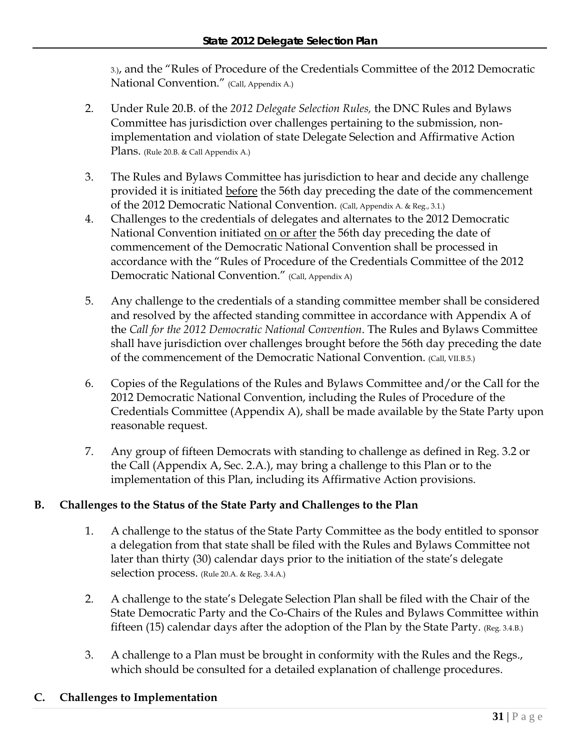3.), and the "Rules of Procedure of the Credentials Committee of the 2012 Democratic National Convention." (Call, Appendix A.)

- 2. Under Rule 20.B. of the *2012 Delegate Selection Rules,* the DNC Rules and Bylaws Committee has jurisdiction over challenges pertaining to the submission, nonimplementation and violation of state Delegate Selection and Affirmative Action Plans. (Rule 20.B. & Call Appendix A.)
- 3. The Rules and Bylaws Committee has jurisdiction to hear and decide any challenge provided it is initiated before the 56th day preceding the date of the commencement of the 2012 Democratic National Convention. (Call, Appendix A. & Reg., 3.1.)
- 4. Challenges to the credentials of delegates and alternates to the 2012 Democratic National Convention initiated on or after the 56th day preceding the date of commencement of the Democratic National Convention shall be processed in accordance with the "Rules of Procedure of the Credentials Committee of the 2012 Democratic National Convention." (Call, Appendix A)
- 5. Any challenge to the credentials of a standing committee member shall be considered and resolved by the affected standing committee in accordance with Appendix A of the *Call for the 2012 Democratic National Convention*. The Rules and Bylaws Committee shall have jurisdiction over challenges brought before the 56th day preceding the date of the commencement of the Democratic National Convention. (Call, VII.B.5.)
- 6. Copies of the Regulations of the Rules and Bylaws Committee and/or the Call for the 2012 Democratic National Convention, including the Rules of Procedure of the Credentials Committee (Appendix A), shall be made available by the State Party upon reasonable request.
- 7. Any group of fifteen Democrats with standing to challenge as defined in Reg. 3.2 or the Call (Appendix A, Sec. 2.A.), may bring a challenge to this Plan or to the implementation of this Plan, including its Affirmative Action provisions.

# **B. Challenges to the Status of the State Party and Challenges to the Plan**

- 1. A challenge to the status of the State Party Committee as the body entitled to sponsor a delegation from that state shall be filed with the Rules and Bylaws Committee not later than thirty (30) calendar days prior to the initiation of the state's delegate selection process. (Rule 20.A. & Reg. 3.4.A.)
- 2. A challenge to the state's Delegate Selection Plan shall be filed with the Chair of the State Democratic Party and the Co-Chairs of the Rules and Bylaws Committee within fifteen (15) calendar days after the adoption of the Plan by the State Party. (Reg. 3.4.B.)
- 3. A challenge to a Plan must be brought in conformity with the Rules and the Regs., which should be consulted for a detailed explanation of challenge procedures.

# **C. Challenges to Implementation**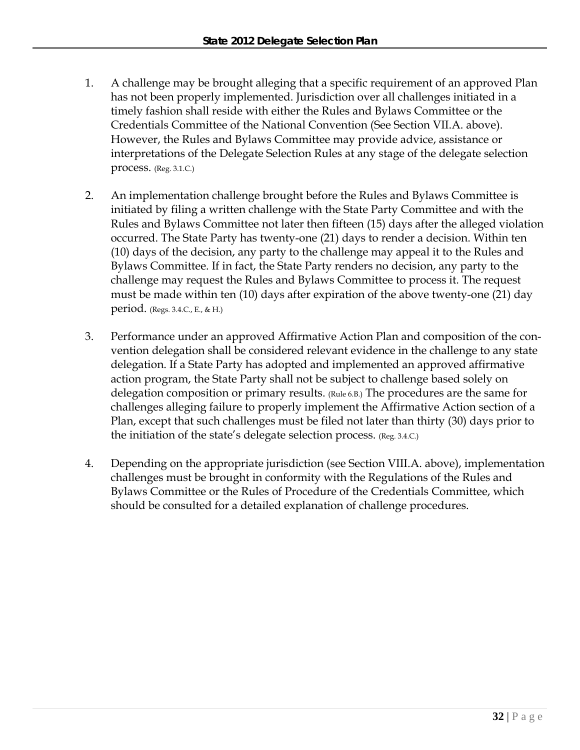- 1. A challenge may be brought alleging that a specific requirement of an approved Plan has not been properly implemented. Jurisdiction over all challenges initiated in a timely fashion shall reside with either the Rules and Bylaws Committee or the Credentials Committee of the National Convention (See Section VII.A. above). However, the Rules and Bylaws Committee may provide advice, assistance or interpretations of the Delegate Selection Rules at any stage of the delegate selection process. (Reg. 3.1.C.)
- 2. An implementation challenge brought before the Rules and Bylaws Committee is initiated by filing a written challenge with the State Party Committee and with the Rules and Bylaws Committee not later then fifteen (15) days after the alleged violation occurred. The State Party has twenty-one (21) days to render a decision. Within ten (10) days of the decision, any party to the challenge may appeal it to the Rules and Bylaws Committee. If in fact, the State Party renders no decision, any party to the challenge may request the Rules and Bylaws Committee to process it. The request must be made within ten (10) days after expiration of the above twenty-one (21) day period. (Regs. 3.4.C., E., & H.)
- 3. Performance under an approved Affirmative Action Plan and composition of the convention delegation shall be considered relevant evidence in the challenge to any state delegation. If a State Party has adopted and implemented an approved affirmative action program, the State Party shall not be subject to challenge based solely on delegation composition or primary results. (Rule 6.B.) The procedures are the same for challenges alleging failure to properly implement the Affirmative Action section of a Plan, except that such challenges must be filed not later than thirty (30) days prior to the initiation of the state's delegate selection process. (Reg. 3.4.C.)
- 4. Depending on the appropriate jurisdiction (see Section VIII.A. above), implementation challenges must be brought in conformity with the Regulations of the Rules and Bylaws Committee or the Rules of Procedure of the Credentials Committee, which should be consulted for a detailed explanation of challenge procedures.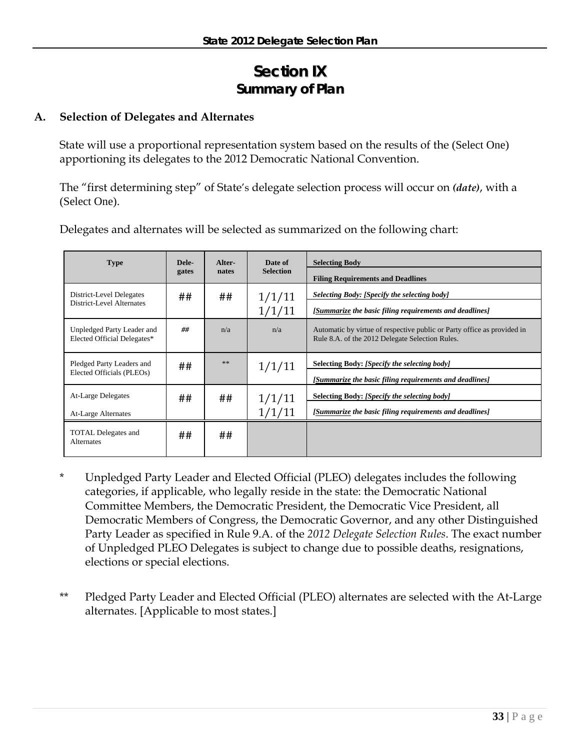# **Section IX Summary of Plan**

# **A. Selection of Delegates and Alternates**

State will use a proportional representation system based on the results of the (Select One) apportioning its delegates to the 2012 Democratic National Convention.

The "first determining step" of State's delegate selection process will occur on *(date)*, with a (Select One).

| <b>Type</b>                                               | Dele- | Alter- | Date of          | <b>Selecting Body</b>                                                                                                      |
|-----------------------------------------------------------|-------|--------|------------------|----------------------------------------------------------------------------------------------------------------------------|
|                                                           | gates | nates  | <b>Selection</b> | <b>Filing Requirements and Deadlines</b>                                                                                   |
| District-Level Delegates                                  | ##    | ##     | 1/1/11           | Selecting Body: [Specify the selecting body]                                                                               |
| District-Level Alternates                                 |       |        | 1/1/11           | [Summarize the basic filing requirements and deadlines]                                                                    |
| Unpledged Party Leader and<br>Elected Official Delegates* | ##    | n/a    | n/a              | Automatic by virtue of respective public or Party office as provided in<br>Rule 8.A. of the 2012 Delegate Selection Rules. |
| Pledged Party Leaders and                                 | ##    | **     | 1/1/11           | Selecting Body: [Specify the selecting body]                                                                               |
| Elected Officials (PLEOs)                                 |       |        |                  | [Summarize the basic filing requirements and deadlines]                                                                    |
| At-Large Delegates                                        | ##    | ##     | 1/1/11           | Selecting Body: [Specify the selecting body]                                                                               |
| At-Large Alternates                                       |       |        | 1/1/11           | [Summarize the basic filing requirements and deadlines]                                                                    |
| <b>TOTAL Delegates and</b><br><b>Alternates</b>           | ##    | ##     |                  |                                                                                                                            |

Delegates and alternates will be selected as summarized on the following chart:

- \* Unpledged Party Leader and Elected Official (PLEO) delegates includes the following categories, if applicable, who legally reside in the state: the Democratic National Committee Members, the Democratic President, the Democratic Vice President, all Democratic Members of Congress, the Democratic Governor, and any other Distinguished Party Leader as specified in Rule 9.A. of the *2012 Delegate Selection Rules*. The exact number of Unpledged PLEO Delegates is subject to change due to possible deaths, resignations, elections or special elections.
- \*\* Pledged Party Leader and Elected Official (PLEO) alternates are selected with the At-Large alternates. [Applicable to most states.]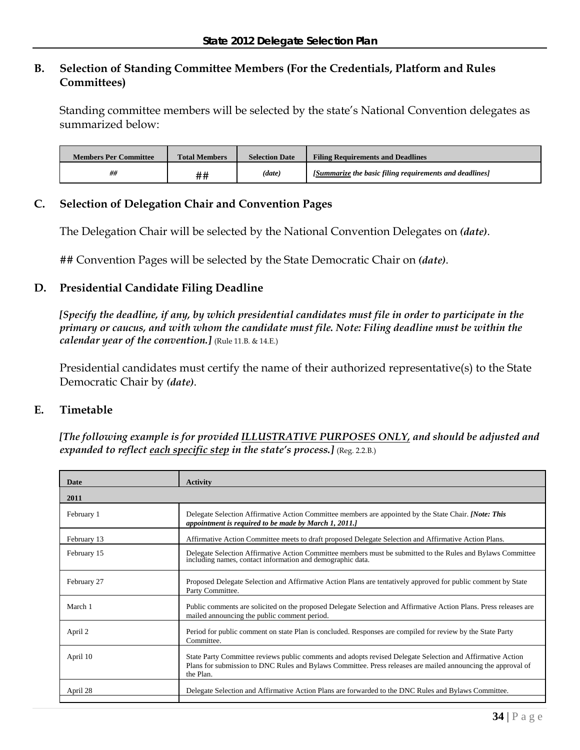# **B. Selection of Standing Committee Members (For the Credentials, Platform and Rules Committees)**

Standing committee members will be selected by the state's National Convention delegates as summarized below:

| <b>Members Per Committee</b> | <b>Total Members</b> | <b>Selection Date</b> | <b>Filing Requirements and Deadlines</b>                |
|------------------------------|----------------------|-----------------------|---------------------------------------------------------|
| ##                           | ##                   | (data)                | [Summarize the basic filing requirements and deadlines] |

## **C. Selection of Delegation Chair and Convention Pages**

The Delegation Chair will be selected by the National Convention Delegates on *(date)*.

## Convention Pages will be selected by the State Democratic Chair on *(date)*.

## **D. Presidential Candidate Filing Deadline**

*[Specify the deadline, if any, by which presidential candidates must file in order to participate in the primary or caucus, and with whom the candidate must file. Note: Filing deadline must be within the calendar year of the convention.]* (Rule 11.B. & 14.E.)

Presidential candidates must certify the name of their authorized representative(s) to the State Democratic Chair by *(date)*.

## **E. Timetable**

*[The following example is for provided ILLUSTRATIVE PURPOSES ONLY, and should be adjusted and expanded to reflect each specific step in the state's process.*] (Reg. 2.2.B.)

| Date        | <b>Activity</b>                                                                                                                                                                                                                         |
|-------------|-----------------------------------------------------------------------------------------------------------------------------------------------------------------------------------------------------------------------------------------|
| 2011        |                                                                                                                                                                                                                                         |
| February 1  | Delegate Selection Affirmative Action Committee members are appointed by the State Chair. [Note: This<br>appointment is required to be made by March 1, 2011.]                                                                          |
| February 13 | Affirmative Action Committee meets to draft proposed Delegate Selection and Affirmative Action Plans.                                                                                                                                   |
| February 15 | Delegate Selection Affirmative Action Committee members must be submitted to the Rules and Bylaws Committee including names, contact information and demographic data.                                                                  |
| February 27 | Proposed Delegate Selection and Affirmative Action Plans are tentatively approved for public comment by State<br>Party Committee.                                                                                                       |
| March 1     | Public comments are solicited on the proposed Delegate Selection and Affirmative Action Plans. Press releases are<br>mailed announcing the public comment period.                                                                       |
| April 2     | Period for public comment on state Plan is concluded. Responses are compiled for review by the State Party<br>Committee.                                                                                                                |
| April 10    | State Party Committee reviews public comments and adopts revised Delegate Selection and Affirmative Action<br>Plans for submission to DNC Rules and Bylaws Committee. Press releases are mailed announcing the approval of<br>the Plan. |
| April 28    | Delegate Selection and Affirmative Action Plans are forwarded to the DNC Rules and Bylaws Committee.                                                                                                                                    |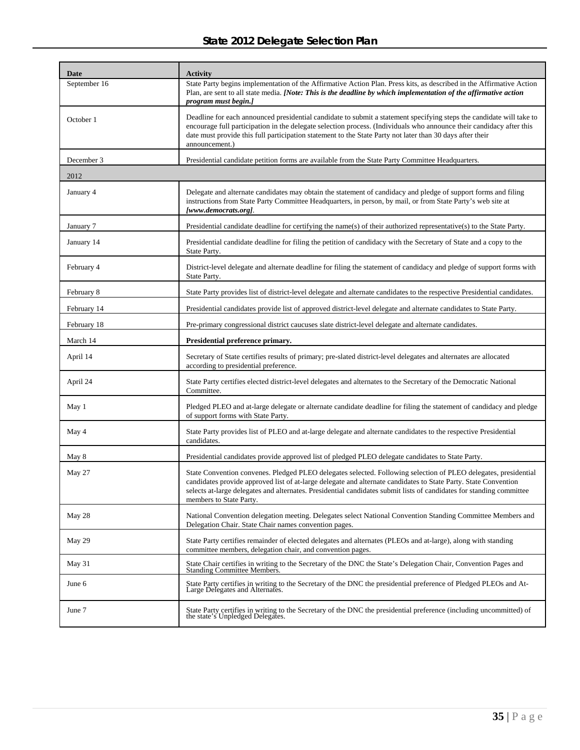# **State 2012 Delegate Selection Plan**

| Date         | <b>Activity</b>                                                                                                                                                                                                                                                                                                                                                                       |
|--------------|---------------------------------------------------------------------------------------------------------------------------------------------------------------------------------------------------------------------------------------------------------------------------------------------------------------------------------------------------------------------------------------|
| September 16 | State Party begins implementation of the Affirmative Action Plan. Press kits, as described in the Affirmative Action<br>Plan, are sent to all state media. [Note: This is the deadline by which implementation of the affirmative action<br>program must begin.]                                                                                                                      |
| October 1    | Deadline for each announced presidential candidate to submit a statement specifying steps the candidate will take to<br>encourage full participation in the delegate selection process. (Individuals who announce their candidacy after this<br>date must provide this full participation statement to the State Party not later than 30 days after their<br>announcement.)           |
| December 3   | Presidential candidate petition forms are available from the State Party Committee Headquarters.                                                                                                                                                                                                                                                                                      |
| 2012         |                                                                                                                                                                                                                                                                                                                                                                                       |
| January 4    | Delegate and alternate candidates may obtain the statement of candidacy and pledge of support forms and filing<br>instructions from State Party Committee Headquarters, in person, by mail, or from State Party's web site at<br>[www.democrats.org].                                                                                                                                 |
| January 7    | Presidential candidate deadline for certifying the name(s) of their authorized representative(s) to the State Party.                                                                                                                                                                                                                                                                  |
| January 14   | Presidential candidate deadline for filing the petition of candidacy with the Secretary of State and a copy to the<br>State Party.                                                                                                                                                                                                                                                    |
| February 4   | District-level delegate and alternate deadline for filing the statement of candidacy and pledge of support forms with<br>State Party.                                                                                                                                                                                                                                                 |
| February 8   | State Party provides list of district-level delegate and alternate candidates to the respective Presidential candidates.                                                                                                                                                                                                                                                              |
| February 14  | Presidential candidates provide list of approved district-level delegate and alternate candidates to State Party.                                                                                                                                                                                                                                                                     |
| February 18  | Pre-primary congressional district caucuses slate district-level delegate and alternate candidates.                                                                                                                                                                                                                                                                                   |
| March 14     | Presidential preference primary.                                                                                                                                                                                                                                                                                                                                                      |
| April 14     | Secretary of State certifies results of primary; pre-slated district-level delegates and alternates are allocated<br>according to presidential preference.                                                                                                                                                                                                                            |
| April 24     | State Party certifies elected district-level delegates and alternates to the Secretary of the Democratic National<br>Committee.                                                                                                                                                                                                                                                       |
| May 1        | Pledged PLEO and at-large delegate or alternate candidate deadline for filing the statement of candidacy and pledge<br>of support forms with State Party.                                                                                                                                                                                                                             |
| May 4        | State Party provides list of PLEO and at-large delegate and alternate candidates to the respective Presidential<br>candidates.                                                                                                                                                                                                                                                        |
| May 8        | Presidential candidates provide approved list of pledged PLEO delegate candidates to State Party.                                                                                                                                                                                                                                                                                     |
| May 27       | State Convention convenes. Pledged PLEO delegates selected. Following selection of PLEO delegates, presidential<br>candidates provide approved list of at-large delegate and alternate candidates to State Party. State Convention<br>selects at-large delegates and alternates. Presidential candidates submit lists of candidates for standing committee<br>members to State Party. |
| May 28       | National Convention delegation meeting. Delegates select National Convention Standing Committee Members and<br>Delegation Chair. State Chair names convention pages.                                                                                                                                                                                                                  |
| May 29       | State Party certifies remainder of elected delegates and alternates (PLEOs and at-large), along with standing<br>committee members, delegation chair, and convention pages.                                                                                                                                                                                                           |
| May 31       | State Chair certifies in writing to the Secretary of the DNC the State's Delegation Chair, Convention Pages and Standing Committee Members.                                                                                                                                                                                                                                           |
| June 6       | State Party certifies in writing to the Secretary of the DNC the presidential preference of Pledged PLEOs and At-<br>Large Delegates and Alternates.                                                                                                                                                                                                                                  |
| June 7       | State Party certifies in writing to the Secretary of the DNC the presidential preference (including uncommitted) of<br>the state's Unpledged Delegates.                                                                                                                                                                                                                               |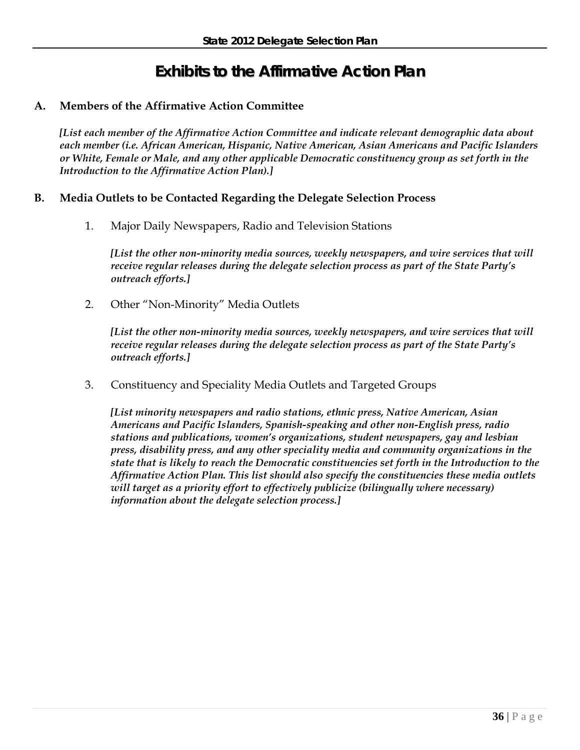# **Exhibits to the Affirmative Action Plan**

# **A. Members of the Affirmative Action Committee**

*[List each member of the Affirmative Action Committee and indicate relevant demographic data about each member (i.e. African American, Hispanic, Native American, Asian Americans and Pacific Islanders or White, Female or Male, and any other applicable Democratic constituency group as set forth in the Introduction to the Affirmative Action Plan).]* 

## **B. Media Outlets to be Contacted Regarding the Delegate Selection Process**

1. Major Daily Newspapers, Radio and Television Stations

*[List the other non-minority media sources, weekly newspapers, and wire services that will receive regular releases during the delegate selection process as part of the State Party's outreach efforts.]* 

2. Other "Non-Minority" Media Outlets

*[List the other non-minority media sources, weekly newspapers, and wire services that will receive regular releases during the delegate selection process as part of the State Party's outreach efforts.]* 

3. Constituency and Speciality Media Outlets and Targeted Groups

*[List minority newspapers and radio stations, ethnic press, Native American, Asian Americans and Pacific Islanders, Spanish-speaking and other non-English press, radio stations and publications, women's organizations, student newspapers, gay and lesbian press, disability press, and any other speciality media and community organizations in the state that is likely to reach the Democratic constituencies set forth in the Introduction to the Affirmative Action Plan. This list should also specify the constituencies these media outlets will target as a priority effort to effectively publicize (bilingually where necessary) information about the delegate selection process.]*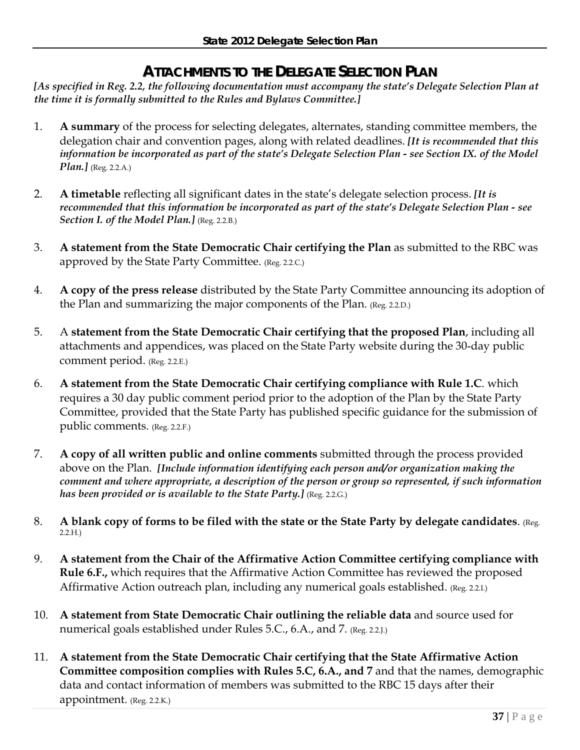# **ATTACHMENTS TO THE DELEGATE SELECTION PLAN**

*[As specified in Reg. 2.2, the following documentation must accompany the state's Delegate Selection Plan at the time it is formally submitted to the Rules and Bylaws Committee.]* 

- 1. **A summary** of the process for selecting delegates, alternates, standing committee members, the delegation chair and convention pages, along with related deadlines. *[It is recommended that this information be incorporated as part of the state's Delegate Selection Plan - see Section IX. of the Model Plan.]* (Reg. 2.2.A.)
- 2. **A timetable** reflecting all significant dates in the state's delegate selection process. *[It is recommended that this information be incorporated as part of the state's Delegate Selection Plan - see*  Section I. of the Model Plan.] (Reg. 2.2.B.)
- 3. **A statement from the State Democratic Chair certifying the Plan** as submitted to the RBC was approved by the State Party Committee. (Reg. 2.2.C.)
- 4. **A copy of the press release** distributed by the State Party Committee announcing its adoption of the Plan and summarizing the major components of the Plan. (Reg. 2.2.D.)
- 5. A **statement from the State Democratic Chair certifying that the proposed Plan**, including all attachments and appendices, was placed on the State Party website during the 30-day public comment period. (Reg. 2.2.E.)
- 6. **A statement from the State Democratic Chair certifying compliance with Rule 1.C**. which requires a 30 day public comment period prior to the adoption of the Plan by the State Party Committee, provided that the State Party has published specific guidance for the submission of public comments. (Reg. 2.2.F.)
- 7. **A copy of all written public and online comments** submitted through the process provided above on the Plan. *[Include information identifying each person and/or organization making the comment and where appropriate, a description of the person or group so represented, if such information has been provided or is available to the State Party.]* (Reg. 2.2.G.)
- 8. **A blank copy of forms to be filed with the state or the State Party by delegate candidates**. (Reg. 2.2.H.)
- 9. **A statement from the Chair of the Affirmative Action Committee certifying compliance with Rule 6.F.,** which requires that the Affirmative Action Committee has reviewed the proposed Affirmative Action outreach plan, including any numerical goals established. (Reg. 2.2.I.)
- 10. **A statement from State Democratic Chair outlining the reliable data** and source used for numerical goals established under Rules 5.C., 6.A., and 7. (Reg. 2.2.J.)
- 11. **A statement from the State Democratic Chair certifying that the State Affirmative Action Committee composition complies with Rules 5.C, 6.A., and 7** and that the names, demographic data and contact information of members was submitted to the RBC 15 days after their appointment. (Reg. 2.2.K.)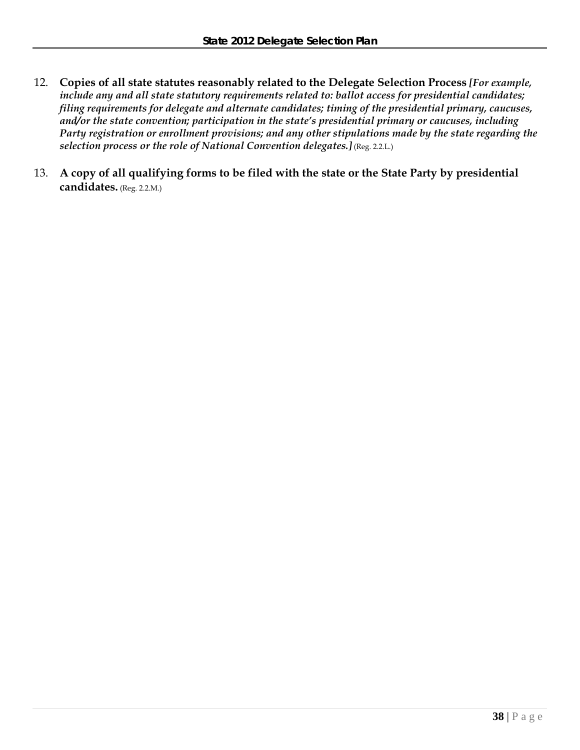- 12. **Copies of all state statutes reasonably related to the Delegate Selection Process** *[For example, include any and all state statutory requirements related to: ballot access for presidential candidates; filing requirements for delegate and alternate candidates; timing of the presidential primary, caucuses, and/or the state convention; participation in the state's presidential primary or caucuses, including Party registration or enrollment provisions; and any other stipulations made by the state regarding the selection process or the role of National Convention delegates.]* (Reg. 2.2.L.)
- 13. **A copy of all qualifying forms to be filed with the state or the State Party by presidential candidates.** (Reg. 2.2.M.)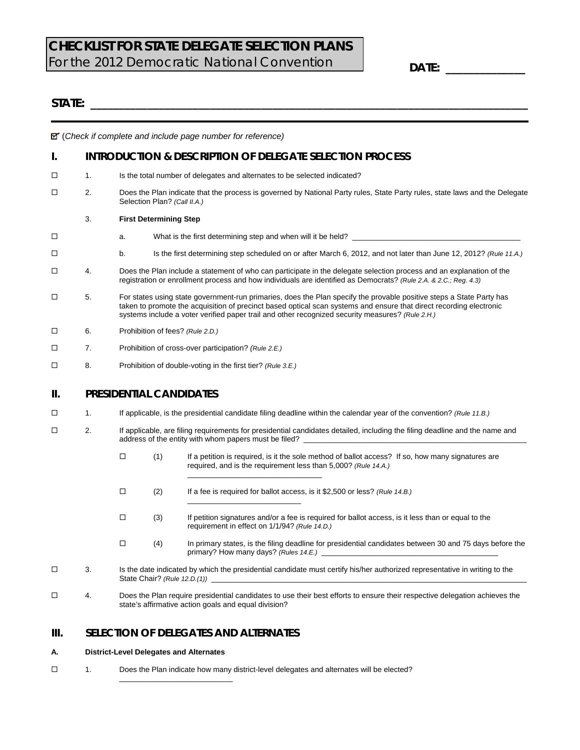# **CHECKLIST FOR STATE DELEGATE SELECTION PLANS**  For the 2012 Democratic National Convention

**DATE: \_\_\_\_\_\_\_\_\_\_\_\_\_\_** 

## $STATE:$

(*Check if complete and include page number for reference)*

## **I. INTRODUCTION & DESCRIPTION OF DELEGATE SELECTION PROCESS**

- □ 1. Is the total number of delegates and alternates to be selected indicated?
- 2. Does the Plan indicate that the process is governed by National Party rules, State Party rules, state laws and the Delegate Selection Plan? *(Call II.A.)*

#### 3. **First Determining Step**

- $\square$  a. What is the first determining step and when will it be held?
- b. Is the first determining step scheduled on or after March 6, 2012, and not later than June 12, 2012? *(Rule 11.A.)*
- 4. Does the Plan include a statement of who can participate in the delegate selection process and an explanation of the registration or enrollment process and how individuals are identified as Democrats? *(Rule 2.A. & 2.C.; Reg. 4.3)*
- $\square$  5. For states using state government-run primaries, does the Plan specify the provable positive steps a State Party has taken to promote the acquisition of precinct based optical scan systems and ensure that direct recording electronic systems include a voter verified paper trail and other recognized security measures? *(Rule 2.H.)*
- 6. Prohibition of fees? *(Rule 2.D.)*
- 7. Prohibition of cross-over participation? *(Rule 2.E.)*
- 8. Prohibition of double-voting in the first tier? *(Rule 3.E.)*

#### **II. PRESIDENTIAL CANDIDATES**

- 1. If applicable, is the presidential candidate filing deadline within the calendar year of the convention? *(Rule 11.B.)*
- 2. If applicable, are filing requirements for presidential candidates detailed, including the filing deadline and the name and address of the entity with whom papers must be filed?
	- $\Box$  (1) If a petition is required, is it the sole method of ballot access? If so, how many signatures are required, and is the requirement less than 5,000? *(Rule 14.A.)* \_\_\_\_\_\_\_\_\_\_\_\_\_\_\_\_\_\_\_\_\_\_\_\_\_\_\_\_\_\_\_\_
	- (2) If a fee is required for ballot access, is it \$2,500 or less? *(Rule 14.B.)*

 $\_$ 

- $\Box$  (3) If petition signatures and/or a fee is required for ballot access, is it less than or equal to the requirement in effect on 1/1/94? *(Rule 14.D.)*
- $\Box$  (4) In primary states, is the filing deadline for presidential candidates between 30 and 75 days before the primary? How many days? *(Rules 14.E.)*
- $\Box$  3. Is the date indicated by which the presidential candidate must certify his/her authorized representative in writing to the State Chair? *(Rule 12.D.(1))*
- 4. Does the Plan require presidential candidates to use their best efforts to ensure their respective delegation achieves the state's affirmative action goals and equal division?

## **III. SELECTION OF DELEGATES AND ALTERNATES**

\_\_\_\_\_\_\_\_\_\_\_\_\_\_\_\_\_\_\_\_\_\_\_\_\_\_\_

#### **A. District-Level Delegates and Alternates**

 $\Box$  1. Does the Plan indicate how many district-level delegates and alternates will be elected?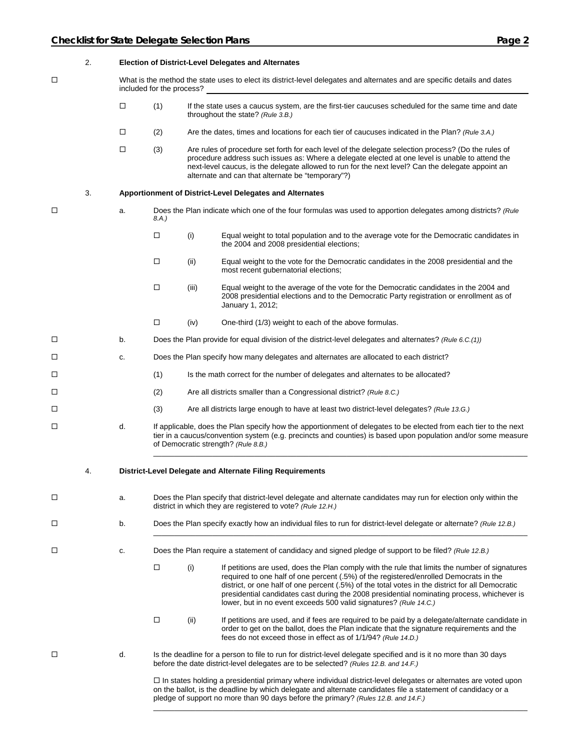|   | 2. |        |                           |       | <b>Election of District-Level Delegates and Alternates</b>                                                                                                                                                                                                                                                                                                                                                                                                     |
|---|----|--------|---------------------------|-------|----------------------------------------------------------------------------------------------------------------------------------------------------------------------------------------------------------------------------------------------------------------------------------------------------------------------------------------------------------------------------------------------------------------------------------------------------------------|
| □ |    |        | included for the process? |       | What is the method the state uses to elect its district-level delegates and alternates and are specific details and dates                                                                                                                                                                                                                                                                                                                                      |
|   |    | $\Box$ | (1)                       |       | If the state uses a caucus system, are the first-tier caucuses scheduled for the same time and date<br>throughout the state? (Rule 3.B.)                                                                                                                                                                                                                                                                                                                       |
|   |    | $\Box$ | (2)                       |       | Are the dates, times and locations for each tier of caucuses indicated in the Plan? (Rule 3.A.)                                                                                                                                                                                                                                                                                                                                                                |
|   |    | □      | (3)                       |       | Are rules of procedure set forth for each level of the delegate selection process? (Do the rules of<br>procedure address such issues as: Where a delegate elected at one level is unable to attend the<br>next-level caucus, is the delegate allowed to run for the next level? Can the delegate appoint an<br>alternate and can that alternate be "temporary"?)                                                                                               |
|   | 3. |        |                           |       | Apportionment of District-Level Delegates and Alternates                                                                                                                                                                                                                                                                                                                                                                                                       |
| □ |    | a.     | 8.A.)                     |       | Does the Plan indicate which one of the four formulas was used to apportion delegates among districts? (Rule                                                                                                                                                                                                                                                                                                                                                   |
|   |    |        | $\Box$                    | (i)   | Equal weight to total population and to the average vote for the Democratic candidates in<br>the 2004 and 2008 presidential elections;                                                                                                                                                                                                                                                                                                                         |
|   |    |        | □                         | (ii)  | Equal weight to the vote for the Democratic candidates in the 2008 presidential and the<br>most recent gubernatorial elections;                                                                                                                                                                                                                                                                                                                                |
|   |    |        | □                         | (iii) | Equal weight to the average of the vote for the Democratic candidates in the 2004 and<br>2008 presidential elections and to the Democratic Party registration or enrollment as of<br>January 1, 2012;                                                                                                                                                                                                                                                          |
|   |    |        | $\Box$                    | (iv)  | One-third (1/3) weight to each of the above formulas.                                                                                                                                                                                                                                                                                                                                                                                                          |
| □ |    | b.     |                           |       | Does the Plan provide for equal division of the district-level delegates and alternates? (Rule 6.C.(1))                                                                                                                                                                                                                                                                                                                                                        |
| □ |    | C.     |                           |       | Does the Plan specify how many delegates and alternates are allocated to each district?                                                                                                                                                                                                                                                                                                                                                                        |
| □ |    |        | (1)                       |       | Is the math correct for the number of delegates and alternates to be allocated?                                                                                                                                                                                                                                                                                                                                                                                |
| □ |    |        | (2)                       |       | Are all districts smaller than a Congressional district? (Rule 8.C.)                                                                                                                                                                                                                                                                                                                                                                                           |
| □ |    |        | (3)                       |       | Are all districts large enough to have at least two district-level delegates? (Rule 13.G.)                                                                                                                                                                                                                                                                                                                                                                     |
| □ |    | d.     |                           |       | If applicable, does the Plan specify how the apportionment of delegates to be elected from each tier to the next<br>tier in a caucus/convention system (e.g. precincts and counties) is based upon population and/or some measure<br>of Democratic strength? (Rule 8.B.)                                                                                                                                                                                       |
|   | 4. |        |                           |       | District-Level Delegate and Alternate Filing Requirements                                                                                                                                                                                                                                                                                                                                                                                                      |
| □ |    | a.     |                           |       | Does the Plan specify that district-level delegate and alternate candidates may run for election only within the<br>district in which they are registered to vote? (Rule 12.H.)                                                                                                                                                                                                                                                                                |
| □ |    | b.     |                           |       | Does the Plan specify exactly how an individual files to run for district-level delegate or alternate? (Rule 12.B.)                                                                                                                                                                                                                                                                                                                                            |
| □ |    | c.     |                           |       | Does the Plan require a statement of candidacy and signed pledge of support to be filed? (Rule 12.B.)                                                                                                                                                                                                                                                                                                                                                          |
|   |    |        | $\Box$                    | (i)   | If petitions are used, does the Plan comply with the rule that limits the number of signatures<br>required to one half of one percent (.5%) of the registered/enrolled Democrats in the<br>district, or one half of one percent (.5%) of the total votes in the district for all Democratic<br>presidential candidates cast during the 2008 presidential nominating process, whichever is<br>lower, but in no event exceeds 500 valid signatures? (Rule 14.C.) |
|   |    |        | $\Box$                    | (ii)  | If petitions are used, and if fees are required to be paid by a delegate/alternate candidate in<br>order to get on the ballot, does the Plan indicate that the signature requirements and the<br>fees do not exceed those in effect as of 1/1/94? (Rule 14.D.)                                                                                                                                                                                                 |
| □ |    | d.     |                           |       | Is the deadline for a person to file to run for district-level delegate specified and is it no more than 30 days<br>before the date district-level delegates are to be selected? (Rules 12.B. and 14.F.)                                                                                                                                                                                                                                                       |
|   |    |        |                           |       | □ In states holding a presidential primary where individual district-level delegates or alternates are voted upon<br>on the ballot, is the deadline by which delegate and alternate candidates file a statement of candidacy or a<br>pledge of support no more than 90 days before the primary? (Rules 12.B. and 14.F.)                                                                                                                                        |

\_\_\_\_\_\_\_\_\_\_\_\_\_\_\_\_\_\_\_\_\_\_\_\_\_\_\_\_\_\_\_\_\_\_\_\_\_\_\_\_\_\_\_\_\_\_\_\_\_\_\_\_\_\_\_\_\_\_\_\_\_\_\_\_\_\_\_\_\_\_\_\_\_\_\_\_\_\_\_\_\_\_\_\_\_\_\_\_\_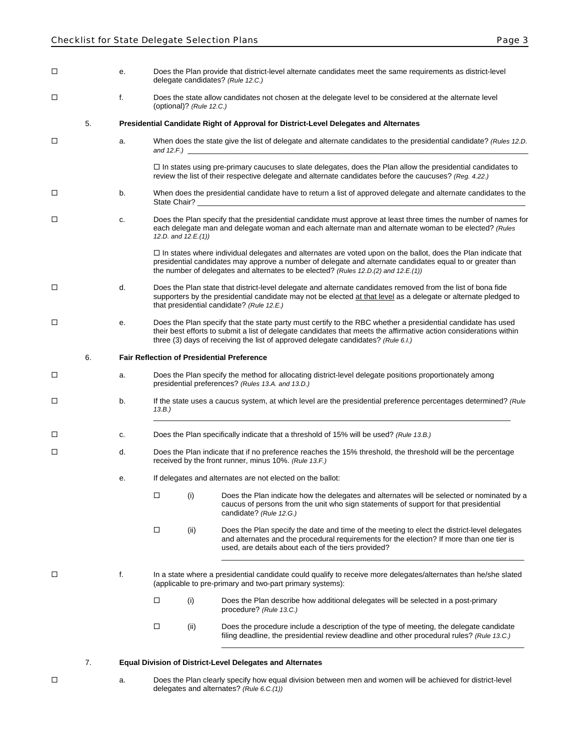| □      |    | е. |        |                             | Does the Plan provide that district-level alternate candidates meet the same requirements as district-level<br>delegate candidates? (Rule 12.C.)                                                                                                                                                                          |
|--------|----|----|--------|-----------------------------|---------------------------------------------------------------------------------------------------------------------------------------------------------------------------------------------------------------------------------------------------------------------------------------------------------------------------|
| □      |    | f. |        | (optional)? (Rule $12.C.$ ) | Does the state allow candidates not chosen at the delegate level to be considered at the alternate level                                                                                                                                                                                                                  |
|        | 5. |    |        |                             | Presidential Candidate Right of Approval for District-Level Delegates and Alternates                                                                                                                                                                                                                                      |
| □      |    | a. |        |                             | When does the state give the list of delegate and alternate candidates to the presidential candidate? (Rules 12.D.                                                                                                                                                                                                        |
|        |    |    |        |                             | $\Box$ In states using pre-primary caucuses to slate delegates, does the Plan allow the presidential candidates to<br>review the list of their respective delegate and alternate candidates before the caucuses? (Reg. 4.22.)                                                                                             |
| □      |    | b. |        |                             | When does the presidential candidate have to return a list of approved delegate and alternate candidates to the                                                                                                                                                                                                           |
| □      |    | c. |        | 12.D. and $12.E.(1)$ )      | Does the Plan specify that the presidential candidate must approve at least three times the number of names for<br>each delegate man and delegate woman and each alternate man and alternate woman to be elected? (Rules                                                                                                  |
|        |    |    |        |                             | $\Box$ In states where individual delegates and alternates are voted upon on the ballot, does the Plan indicate that<br>presidential candidates may approve a number of delegate and alternate candidates equal to or greater than<br>the number of delegates and alternates to be elected? (Rules 12.D.(2) and 12.E.(1)) |
| □      |    | d. |        |                             | Does the Plan state that district-level delegate and alternate candidates removed from the list of bona fide<br>supporters by the presidential candidate may not be elected at that level as a delegate or alternate pledged to<br>that presidential candidate? (Rule 12.E.)                                              |
| □      |    | е. |        |                             | Does the Plan specify that the state party must certify to the RBC whether a presidential candidate has used<br>their best efforts to submit a list of delegate candidates that meets the affirmative action considerations within<br>three (3) days of receiving the list of approved delegate candidates? (Rule 6.I.)   |
|        | 6. |    |        |                             | <b>Fair Reflection of Presidential Preference</b>                                                                                                                                                                                                                                                                         |
| $\Box$ |    | a. |        |                             | Does the Plan specify the method for allocating district-level delegate positions proportionately among<br>presidential preferences? (Rules 13.A. and 13.D.)                                                                                                                                                              |
| □      |    | b. | 13.B.) |                             | If the state uses a caucus system, at which level are the presidential preference percentages determined? (Rule                                                                                                                                                                                                           |
| □      |    | c. |        |                             | Does the Plan specifically indicate that a threshold of 15% will be used? (Rule 13.B.)                                                                                                                                                                                                                                    |
| □      |    | d. |        |                             | Does the Plan indicate that if no preference reaches the 15% threshold, the threshold will be the percentage<br>received by the front runner, minus 10%. (Rule 13.F.)                                                                                                                                                     |
|        |    | е. |        |                             | If delegates and alternates are not elected on the ballot:                                                                                                                                                                                                                                                                |
|        |    |    | $\Box$ | (i)                         | Does the Plan indicate how the delegates and alternates will be selected or nominated by a<br>caucus of persons from the unit who sign statements of support for that presidential<br>candidate? (Rule 12.G.)                                                                                                             |
|        |    |    | $\Box$ | (ii)                        | Does the Plan specify the date and time of the meeting to elect the district-level delegates<br>and alternates and the procedural requirements for the election? If more than one tier is<br>used, are details about each of the tiers provided?                                                                          |
| □      |    | f. |        |                             | In a state where a presidential candidate could qualify to receive more delegates/alternates than he/she slated<br>(applicable to pre-primary and two-part primary systems):                                                                                                                                              |
|        |    |    | □      | (i)                         | Does the Plan describe how additional delegates will be selected in a post-primary<br>procedure? (Rule 13.C.)                                                                                                                                                                                                             |
|        |    |    | □      | (ii)                        | Does the procedure include a description of the type of meeting, the delegate candidate<br>filing deadline, the presidential review deadline and other procedural rules? (Rule 13.C.)                                                                                                                                     |
|        |    |    |        |                             |                                                                                                                                                                                                                                                                                                                           |

7. **Equal Division of District-Level Delegates and Alternates**

- 
- a. Does the Plan clearly specify how equal division between men and women will be achieved for district-level delegates and alternates? *(Rule 6.C.(1))*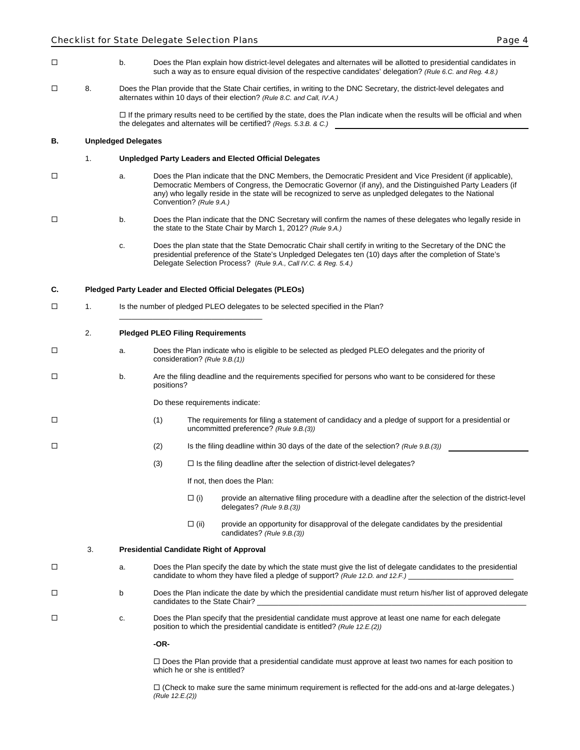- b. Does the Plan explain how district-level delegates and alternates will be allotted to presidential candidates in such a way as to ensure equal division of the respective candidates' delegation? *(Rule 6.C. and Reg. 4.8.)*
- 8. Does the Plan provide that the State Chair certifies, in writing to the DNC Secretary, the district-level delegates and alternates within 10 days of their election? *(Rule 8.C. and Call, IV.A.)*

 $\Box$  If the primary results need to be certified by the state, does the Plan indicate when the results will be official and when the delegates and alternates will be certified? *(Regs. 5.3.B. & C.)*

#### **B. Unpledged Delegates**

#### 1. **Unpledged Party Leaders and Elected Official Delegates**

- a. Does the Plan indicate that the DNC Members, the Democratic President and Vice President (if applicable), Democratic Members of Congress, the Democratic Governor (if any), and the Distinguished Party Leaders (if any) who legally reside in the state will be recognized to serve as unpledged delegates to the National Convention? *(Rule 9.A.)*
- b. Does the Plan indicate that the DNC Secretary will confirm the names of these delegates who legally reside in the state to the State Chair by March 1, 2012? *(Rule 9.A.)*
	- c. Does the plan state that the State Democratic Chair shall certify in writing to the Secretary of the DNC the presidential preference of the State's Unpledged Delegates ten (10) days after the completion of State's Delegate Selection Process? (*Rule 9.A., Call IV.C. & Reg. 5.4.)*

#### **C. Pledged Party Leader and Elected Official Delegates (PLEOs)**

\_\_\_\_\_\_\_\_\_\_\_\_\_\_\_\_\_\_\_\_\_\_\_\_\_\_\_\_\_\_\_\_\_\_

□ 1. Is the number of pledged PLEO delegates to be selected specified in the Plan?

#### 2. **Pledged PLEO Filing Requirements**

- a. Does the Plan indicate who is eligible to be selected as pledged PLEO delegates and the priority of consideration? *(Rule 9.B.(1))*
- $\Box$  b. Are the filing deadline and the requirements specified for persons who want to be considered for these positions?

Do these requirements indicate:

- (1) The requirements for filing a statement of candidacy and a pledge of support for a presidential or uncommitted preference? *(Rule 9.B.(3))*
- (2) Is the filing deadline within 30 days of the date of the selection? *(Rule 9.B.(3))*
	- $(3)$   $\Box$  Is the filing deadline after the selection of district-level delegates?

If not, then does the Plan:

- $\Box$  (i) provide an alternative filing procedure with a deadline after the selection of the district-level delegates? *(Rule 9.B.(3))*
- $\Box$  (ii) provide an opportunity for disapproval of the delegate candidates by the presidential candidates? *(Rule 9.B.(3))*

#### 3. **Presidential Candidate Right of Approval**

- a. Does the Plan specify the date by which the state must give the list of delegate candidates to the presidential candidate to whom they have filed a pledge of support? *(Rule 12.D. and 12.F.)*
- D b Does the Plan indicate the date by which the presidential candidate must return his/her list of approved delegate candidates to the State Chair?
- c. Does the Plan specify that the presidential candidate must approve at least one name for each delegate position to which the presidential candidate is entitled? *(Rule 12.E.(2))*

**-OR-**

 Does the Plan provide that a presidential candidate must approve at least two names for each position to which he or she is entitled?

 $\Box$  (Check to make sure the same minimum requirement is reflected for the add-ons and at-large delegates.) *(Rule 12.E.(2))*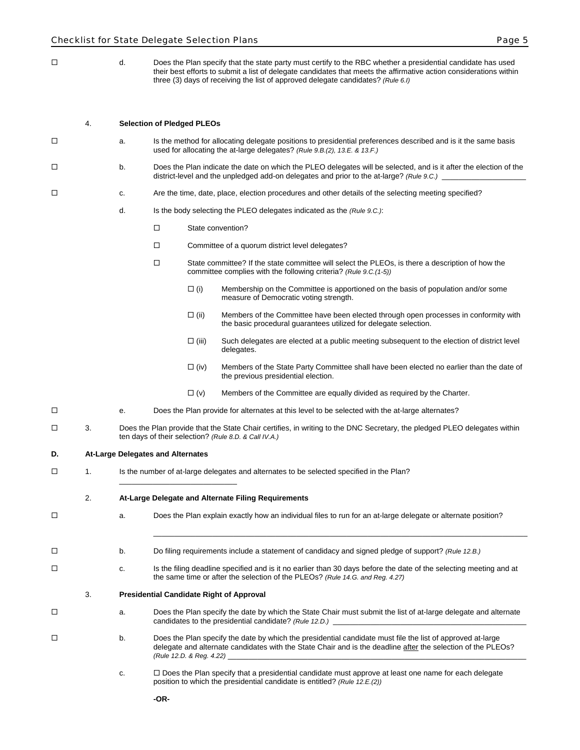d. Does the Plan specify that the state party must certify to the RBC whether a presidential candidate has used their best efforts to submit a list of delegate candidates that meets the affirmative action considerations within three (3) days of receiving the list of approved delegate candidates? *(Rule 6.I)*

#### 4. **Selection of Pledged PLEOs**

- a. Is the method for allocating delegate positions to presidential preferences described and is it the same basis used for allocating the at-large delegates? *(Rule 9.B.(2), 13.E. & 13.F.)*
- b. Does the Plan indicate the date on which the PLEO delegates will be selected, and is it after the election of the district-level and the unpledged add-on delegates and prior to the at-large? *(Rule 9.C.)*
- c. Are the time, date, place, election procedures and other details of the selecting meeting specified?
	- d. Is the body selecting the PLEO delegates indicated as the *(Rule 9.C.)*:
		- □ State convention?
		- □ Committee of a quorum district level delegates?
		- □ State committee? If the state committee will select the PLEOs, is there a description of how the committee complies with the following criteria? *(Rule 9.C.(1-5))*
			- $\Box$  (i) Membership on the Committee is apportioned on the basis of population and/or some measure of Democratic voting strength.
			- $\Box$  (ii) Members of the Committee have been elected through open processes in conformity with the basic procedural guarantees utilized for delegate selection.
			- $\square$  (iii) Such delegates are elected at a public meeting subsequent to the election of district level delegates.
			- $\Box$  (iv) Members of the State Party Committee shall have been elected no earlier than the date of the previous presidential election.
			- $\Box$  (v) Members of the Committee are equally divided as required by the Charter.

 $\mathcal{L}_\mathcal{L} = \{ \mathcal{L}_\mathcal{L} = \{ \mathcal{L}_\mathcal{L} = \{ \mathcal{L}_\mathcal{L} = \{ \mathcal{L}_\mathcal{L} = \{ \mathcal{L}_\mathcal{L} = \{ \mathcal{L}_\mathcal{L} = \{ \mathcal{L}_\mathcal{L} = \{ \mathcal{L}_\mathcal{L} = \{ \mathcal{L}_\mathcal{L} = \{ \mathcal{L}_\mathcal{L} = \{ \mathcal{L}_\mathcal{L} = \{ \mathcal{L}_\mathcal{L} = \{ \mathcal{L}_\mathcal{L} = \{ \mathcal{L}_\mathcal{$ 

- e. Does the Plan provide for alternates at this level to be selected with the at-large alternates?
- $\Box$  3. Does the Plan provide that the State Chair certifies, in writing to the DNC Secretary, the pledged PLEO delegates within ten days of their selection? *(Rule 8.D. & Call IV.A.)*

#### **D. At-Large Delegates and Alternates**

□ 1. Is the number of at-large delegates and alternates to be selected specified in the Plan?

2. **At-Large Delegate and Alternate Filing Requirements**

\_\_\_\_\_\_\_\_\_\_\_\_\_\_\_\_\_\_\_\_\_\_\_\_\_\_\_\_

- a. Does the Plan explain exactly how an individual files to run for an at-large delegate or alternate position?
- b. Do filing requirements include a statement of candidacy and signed pledge of support? *(Rule 12.B.)*
- c. Is the filing deadline specified and is it no earlier than 30 days before the date of the selecting meeting and at the same time or after the selection of the PLEOs? *(Rule 14.G. and Reg. 4.27)* 
	- 3. **Presidential Candidate Right of Approval**
- a. Does the Plan specify the date by which the State Chair must submit the list of at-large delegate and alternate candidates to the presidential candidate? (Rule 12.D.)
- $\square$  b. Does the Plan specify the date by which the presidential candidate must file the list of approved at-large delegate and alternate candidates with the State Chair and is the deadline after the selection of the PLEOs? *(Rule 12.D. & Reg. 4.22)* \_\_\_\_\_\_\_\_\_\_\_\_\_\_\_\_\_\_\_\_\_\_\_\_\_\_\_\_\_\_\_\_\_\_\_\_\_\_\_\_\_\_\_\_\_\_\_\_\_\_\_\_\_\_\_\_\_\_\_\_\_\_\_\_\_\_\_\_\_\_\_
	- $c.$   $\Box$  Does the Plan specify that a presidential candidate must approve at least one name for each delegate position to which the presidential candidate is entitled? *(Rule 12.E.(2))*

**-OR-**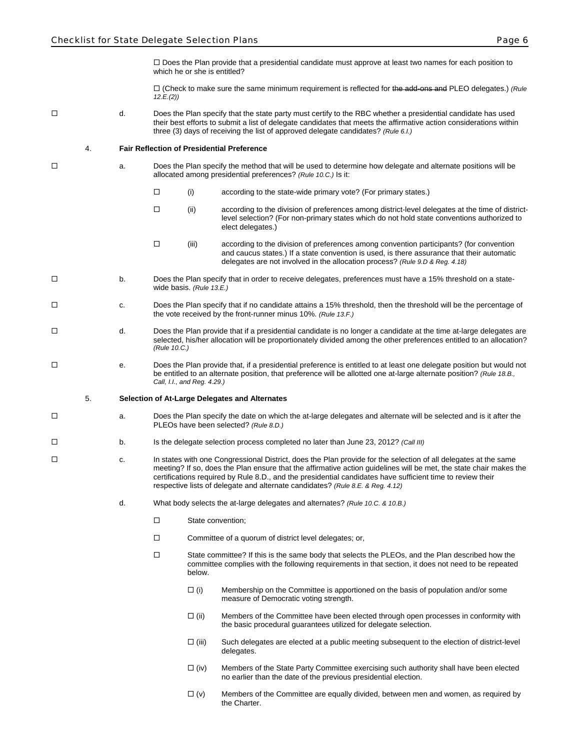$\Box$  Does the Plan provide that a presidential candidate must approve at least two names for each position to which he or she is entitled?

 (Check to make sure the same minimum requirement is reflected for the add-ons and PLEO delegates.) *(Rule 12.E.(2))* 

 d. Does the Plan specify that the state party must certify to the RBC whether a presidential candidate has used their best efforts to submit a list of delegate candidates that meets the affirmative action considerations within three (3) days of receiving the list of approved delegate candidates? *(Rule 6.I.)*

4. **Fair Reflection of Presidential Preference**

- a. Does the Plan specify the method that will be used to determine how delegate and alternate positions will be allocated among presidential preferences? *(Rule 10.C.)* Is it:
	- $\Box$  (i) according to the state-wide primary vote? (For primary states.)
	- $\Box$  (ii) according to the division of preferences among district-level delegates at the time of districtlevel selection? (For non-primary states which do not hold state conventions authorized to elect delegates.)
	- (iii) according to the division of preferences among convention participants? (for convention and caucus states.) If a state convention is used, is there assurance that their automatic delegates are not involved in the allocation process? *(Rule 9.D & Reg. 4.18)*
- D b. Does the Plan specify that in order to receive delegates, preferences must have a 15% threshold on a statewide basis. *(Rule 13.E.)*
- c. Does the Plan specify that if no candidate attains a 15% threshold, then the threshold will be the percentage of the vote received by the front-runner minus 10%. *(Rule 13.F.)*
- d. Does the Plan provide that if a presidential candidate is no longer a candidate at the time at-large delegates are selected, his/her allocation will be proportionately divided among the other preferences entitled to an allocation? *(Rule 10.C.)*
- □ e. Does the Plan provide that, if a presidential preference is entitled to at least one delegate position but would not be entitled to an alternate position, that preference will be allotted one at-large alternate position? *(Rule 18.B., Call, I.I., and Reg. 4.29.)*

#### 5. **Selection of At-Large Delegates and Alternates**

- a. Does the Plan specify the date on which the at-large delegates and alternate will be selected and is it after the PLEOs have been selected? *(Rule 8.D.)*
- b. Is the delegate selection process completed no later than June 23, 2012? *(Call III)*
- c. In states with one Congressional District, does the Plan provide for the selection of all delegates at the same meeting? If so, does the Plan ensure that the affirmative action guidelines will be met, the state chair makes the certifications required by Rule 8.D., and the presidential candidates have sufficient time to review their respective lists of delegate and alternate candidates? *(Rule 8.E. & Reg. 4.12)*
	- d. What body selects the at-large delegates and alternates? *(Rule 10.C. & 10.B.)*
		- State convention;
		- $\square$  Committee of a quorum of district level delegates; or,
		- $\square$  State committee? If this is the same body that selects the PLEOs, and the Plan described how the committee complies with the following requirements in that section, it does not need to be repeated below.
			- $\Box$  (i) Membership on the Committee is apportioned on the basis of population and/or some measure of Democratic voting strength.
			- $\Box$  (ii) Members of the Committee have been elected through open processes in conformity with the basic procedural guarantees utilized for delegate selection.
			- $\Box$  (iii) Such delegates are elected at a public meeting subsequent to the election of district-level delegates.
			- $\square$  (iv) Members of the State Party Committee exercising such authority shall have been elected no earlier than the date of the previous presidential election.
			- $\Box$  (v) Members of the Committee are equally divided, between men and women, as required by the Charter.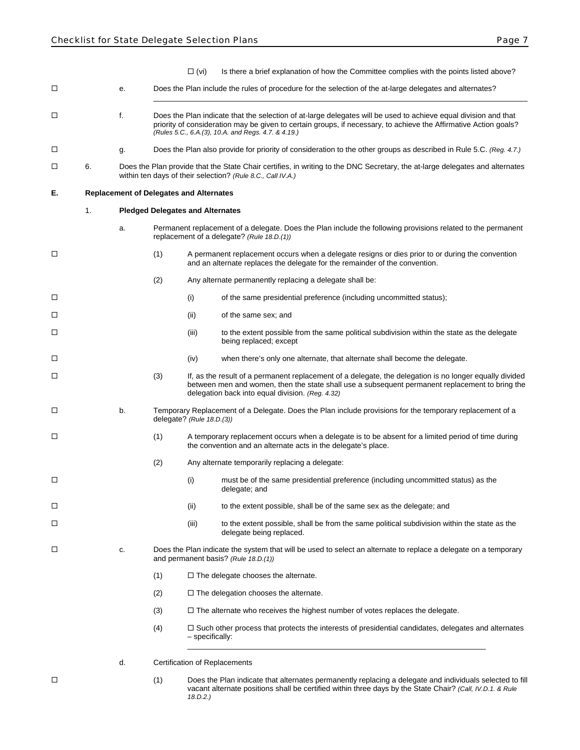- $\Box$  (vi) Is there a brief explanation of how the Committee complies with the points listed above?
- e. Does the Plan include the rules of procedure for the selection of the at-large delegates and alternates?

\_\_\_\_\_\_\_\_\_\_\_\_\_\_\_\_\_\_\_\_\_\_\_\_\_\_\_\_\_\_\_\_\_\_\_\_\_\_\_\_\_\_\_\_\_\_\_\_\_\_\_\_\_\_\_\_\_\_\_\_\_\_\_\_\_\_\_\_\_\_\_\_\_\_\_\_\_\_\_\_\_\_\_\_\_\_\_\_\_

- f. Does the Plan indicate that the selection of at-large delegates will be used to achieve equal division and that priority of consideration may be given to certain groups, if necessary, to achieve the Affirmative Action goals? *(Rules 5.C., 6.A.(3), 10.A. and Regs. 4.7. & 4.19.)*
- g. Does the Plan also provide for priority of consideration to the other groups as described in Rule 5.C. *(Reg. 4.7.)*
- 6. Does the Plan provide that the State Chair certifies, in writing to the DNC Secretary, the at-large delegates and alternates within ten days of their selection? *(Rule 8.C., Call IV.A.)*

#### **E. Replacement of Delegates and Alternates**

#### 1. **Pledged Delegates and Alternates**

- a. Permanent replacement of a delegate. Does the Plan include the following provisions related to the permanent replacement of a delegate? *(Rule 18.D.(1))*
- (1) A permanent replacement occurs when a delegate resigns or dies prior to or during the convention and an alternate replaces the delegate for the remainder of the convention.
	- (2) Any alternate permanently replacing a delegate shall be:
- (i) of the same presidential preference (including uncommitted status);
- (ii) of the same sex; and
- $\Box$ being replaced; except
- (iv) when there's only one alternate, that alternate shall become the delegate.
- (3) If, as the result of a permanent replacement of a delegate, the delegation is no longer equally divided between men and women, then the state shall use a subsequent permanent replacement to bring the delegation back into equal division. *(Reg. 4.32)*
- b. Temporary Replacement of a Delegate. Does the Plan include provisions for the temporary replacement of a delegate? *(Rule 18.D.(3))*
- (1) A temporary replacement occurs when a delegate is to be absent for a limited period of time during the convention and an alternate acts in the delegate's place.
	- (2) Any alternate temporarily replacing a delegate:
- (i) must be of the same presidential preference (including uncommitted status) as the delegate; and
- (ii) to the extent possible, shall be of the same sex as the delegate; and
- (iii) to the extent possible, shall be from the same political subdivision within the state as the delegate being replaced.
- c. Does the Plan indicate the system that will be used to select an alternate to replace a delegate on a temporary and permanent basis? *(Rule 18.D.(1))*
	- $(1)$   $\Box$  The delegate chooses the alternate.
	- $(2)$   $\Box$  The delegation chooses the alternate.
	- $(3)$   $\Box$  The alternate who receives the highest number of votes replaces the delegate.
	- $(4)$   $\square$  Such other process that protects the interests of presidential candidates, delegates and alternates – specifically: \_\_\_\_\_\_\_\_\_\_\_\_\_\_\_\_\_\_\_\_\_\_\_\_\_\_\_\_\_\_\_\_\_\_\_\_\_\_\_\_\_\_\_\_\_\_\_\_\_\_\_\_\_\_\_\_\_\_\_\_\_\_\_\_\_\_\_\_\_\_\_
	- d. Certification of Replacements
- (1) Does the Plan indicate that alternates permanently replacing a delegate and individuals selected to fill vacant alternate positions shall be certified within three days by the State Chair? *(Call, IV.D.1. & Rule 18.D.2.)*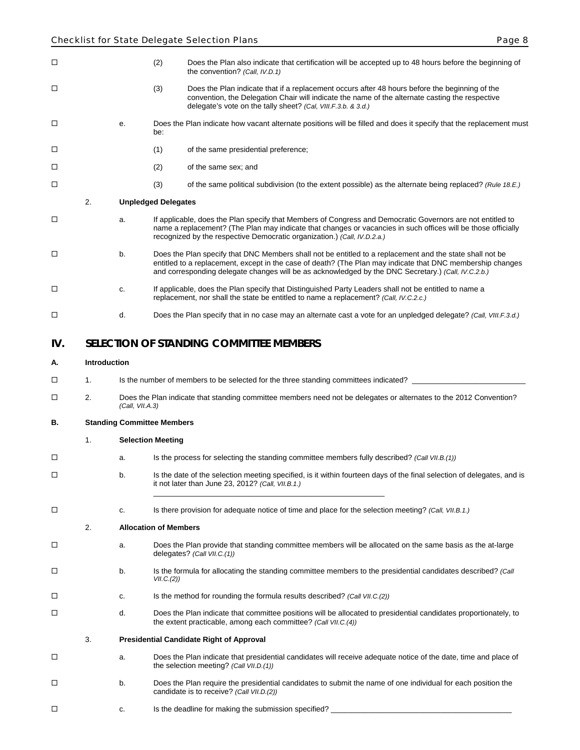| □      |                     |                 | (2)<br>Does the Plan also indicate that certification will be accepted up to 48 hours before the beginning of<br>the convention? (Call, IV.D.1)                                                                                                                                                                               |
|--------|---------------------|-----------------|-------------------------------------------------------------------------------------------------------------------------------------------------------------------------------------------------------------------------------------------------------------------------------------------------------------------------------|
| □      |                     |                 | (3)<br>Does the Plan indicate that if a replacement occurs after 48 hours before the beginning of the<br>convention, the Delegation Chair will indicate the name of the alternate casting the respective<br>delegate's vote on the tally sheet? (Cal, VIII.F.3.b. & 3.d.)                                                     |
| □      |                     | е.              | Does the Plan indicate how vacant alternate positions will be filled and does it specify that the replacement must<br>be:                                                                                                                                                                                                     |
| □      |                     |                 | (1)<br>of the same presidential preference;                                                                                                                                                                                                                                                                                   |
| □      |                     |                 | (2)<br>of the same sex; and                                                                                                                                                                                                                                                                                                   |
| $\Box$ |                     |                 | (3)<br>of the same political subdivision (to the extent possible) as the alternate being replaced? (Rule 18.E.)                                                                                                                                                                                                               |
|        | 2.                  |                 | <b>Unpledged Delegates</b>                                                                                                                                                                                                                                                                                                    |
| □      |                     | a.              | If applicable, does the Plan specify that Members of Congress and Democratic Governors are not entitled to<br>name a replacement? (The Plan may indicate that changes or vacancies in such offices will be those officially<br>recognized by the respective Democratic organization.) (Call, IV.D.2.a.)                       |
| □      |                     | b.              | Does the Plan specify that DNC Members shall not be entitled to a replacement and the state shall not be<br>entitled to a replacement, except in the case of death? (The Plan may indicate that DNC membership changes<br>and corresponding delegate changes will be as acknowledged by the DNC Secretary.) (Call, IV.C.2.b.) |
| □      |                     | c.              | If applicable, does the Plan specify that Distinguished Party Leaders shall not be entitled to name a<br>replacement, nor shall the state be entitled to name a replacement? (Call, IV.C.2.c.)                                                                                                                                |
| □      |                     | d.              | Does the Plan specify that in no case may an alternate cast a vote for an unpledged delegate? (Call, VIII.F.3.d.)                                                                                                                                                                                                             |
| IV.    |                     |                 | <b>SELECTION OF STANDING COMMITTEE MEMBERS</b>                                                                                                                                                                                                                                                                                |
| А.     | <b>Introduction</b> |                 |                                                                                                                                                                                                                                                                                                                               |
| □      | 1.                  |                 | Is the number of members to be selected for the three standing committees indicated?                                                                                                                                                                                                                                          |
| □      | 2.                  | (Call, VII.A.3) | Does the Plan indicate that standing committee members need not be delegates or alternates to the 2012 Convention?                                                                                                                                                                                                            |
| В.     |                     |                 | <b>Standing Committee Members</b>                                                                                                                                                                                                                                                                                             |
|        | 1.                  |                 | <b>Selection Meeting</b>                                                                                                                                                                                                                                                                                                      |
| □      |                     | a.              | Is the process for selecting the standing committee members fully described? (Call VII.B.(1))                                                                                                                                                                                                                                 |
| □      |                     | b.              | Is the date of the selection meeting specified, is it within fourteen days of the final selection of delegates, and is<br>it not later than June 23, 2012? (Call, $VII.B.1$ .)                                                                                                                                                |
| □      |                     | c.              | Is there provision for adequate notice of time and place for the selection meeting? (Call, VII.B.1.)                                                                                                                                                                                                                          |
|        | 2.                  |                 | <b>Allocation of Members</b>                                                                                                                                                                                                                                                                                                  |
| □      |                     | а.              | Does the Plan provide that standing committee members will be allocated on the same basis as the at-large<br>delegates? (Call VII.C.(1))                                                                                                                                                                                      |
| □      |                     | b.              | Is the formula for allocating the standing committee members to the presidential candidates described? (Call<br>VII.C.(2))                                                                                                                                                                                                    |
| □      |                     | c.              | Is the method for rounding the formula results described? (Call VII.C.(2))                                                                                                                                                                                                                                                    |
| □      |                     | d.              | Does the Plan indicate that committee positions will be allocated to presidential candidates proportionately, to<br>the extent practicable, among each committee? (Call VII.C.(4))                                                                                                                                            |
|        | 3.                  |                 | <b>Presidential Candidate Right of Approval</b>                                                                                                                                                                                                                                                                               |
| □      |                     | a.              | Does the Plan indicate that presidential candidates will receive adequate notice of the date, time and place of<br>the selection meeting? (Call VII.D.(1))                                                                                                                                                                    |
| □      |                     | b.              | Does the Plan require the presidential candidates to submit the name of one individual for each position the<br>candidate is to receive? (Call VII.D.(2))                                                                                                                                                                     |
| □      |                     | c.              | Is the deadline for making the submission specified?                                                                                                                                                                                                                                                                          |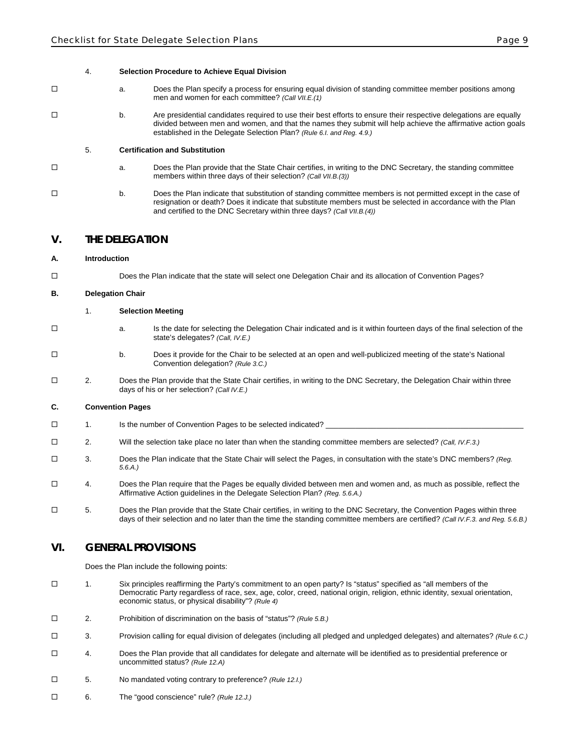#### 4. **Selection Procedure to Achieve Equal Division**

- a. Does the Plan specify a process for ensuring equal division of standing committee member positions among men and women for each committee? *(Call VII.E.(1)*
- b. Are presidential candidates required to use their best efforts to ensure their respective delegations are equally divided between men and women, and that the names they submit will help achieve the affirmative action goals established in the Delegate Selection Plan? *(Rule 6.I. and Reg. 4.9.)*

#### 5. **Certification and Substitution**

- a. Does the Plan provide that the State Chair certifies, in writing to the DNC Secretary, the standing committee members within three days of their selection? *(Call VII.B.(3))*
- b. Does the Plan indicate that substitution of standing committee members is not permitted except in the case of resignation or death? Does it indicate that substitute members must be selected in accordance with the Plan and certified to the DNC Secretary within three days? *(Call VII.B.(4))*

#### **V. THE DELEGATION**

#### **A. Introduction**

Does the Plan indicate that the state will select one Delegation Chair and its allocation of Convention Pages?

#### **B. Delegation Chair**

#### 1. **Selection Meeting**

- a. Is the date for selecting the Delegation Chair indicated and is it within fourteen days of the final selection of the state's delegates? *(Call, IV.E.)*
- b. Does it provide for the Chair to be selected at an open and well-publicized meeting of the state's National Convention delegation? *(Rule 3.C.)*
- 2. Does the Plan provide that the State Chair certifies, in writing to the DNC Secretary, the Delegation Chair within three days of his or her selection? *(Call IV.E.)*

#### **C. Convention Pages**

- $\Box$  1. Is the number of Convention Pages to be selected indicated?
- 2. Will the selection take place no later than when the standing committee members are selected? *(Call, IV.F.3.)*
- 3. Does the Plan indicate that the State Chair will select the Pages, in consultation with the state's DNC members? *(Reg. 5.6.A.)*
- 4. Does the Plan require that the Pages be equally divided between men and women and, as much as possible, reflect the Affirmative Action guidelines in the Delegate Selection Plan? *(Reg. 5.6.A.)*
- $\square$  5. Does the Plan provide that the State Chair certifies, in writing to the DNC Secretary, the Convention Pages within three days of their selection and no later than the time the standing committee members are certified? *(Call IV.F.3. and Reg. 5.6.B.)*

#### **VI. GENERAL PROVISIONS**

Does the Plan include the following points:

- 1. Six principles reaffirming the Party's commitment to an open party? Is "status" specified as "all members of the Democratic Party regardless of race, sex, age, color, creed, national origin, religion, ethnic identity, sexual orientation, economic status, or physical disability"? *(Rule 4)*
- 2. Prohibition of discrimination on the basis of "status"? *(Rule 5.B.)*
- 3. Provision calling for equal division of delegates (including all pledged and unpledged delegates) and alternates? *(Rule 6.C.)*
- 4. Does the Plan provide that all candidates for delegate and alternate will be identified as to presidential preference or uncommitted status? *(Rule 12.A)*
- 5. No mandated voting contrary to preference? *(Rule 12.I.)*
- 6. The "good conscience" rule? *(Rule 12.J.)*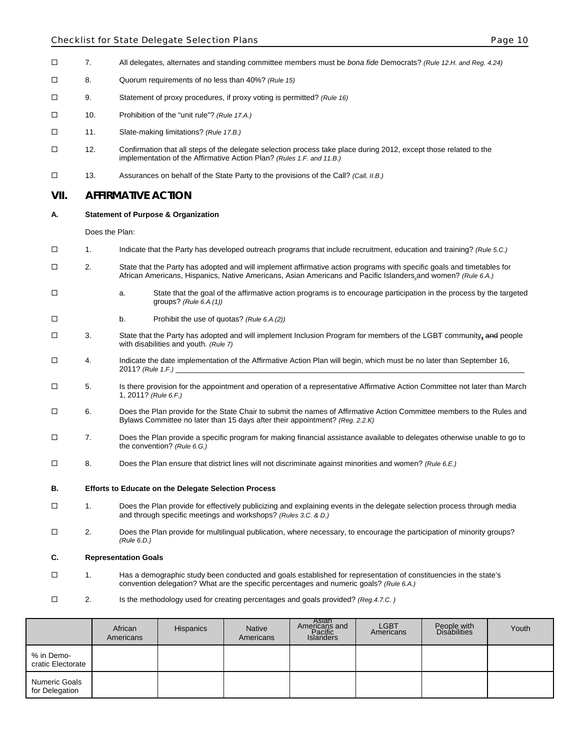#### Checklist for State Delegate Selection Plans **Page 10** and Page 10 and Page 10

- 7. All delegates, alternates and standing committee members must be *bona fide* Democrats? *(Rule 12.H. and Reg. 4.24)*
- 8. Quorum requirements of no less than 40%? *(Rule 15)*
- 9. Statement of proxy procedures, if proxy voting is permitted? *(Rule 16)*
- 10. Prohibition of the "unit rule"? *(Rule 17.A.)*
- 11. Slate-making limitations? *(Rule 17.B.)*
- 12. Confirmation that all steps of the delegate selection process take place during 2012, except those related to the implementation of the Affirmative Action Plan? *(Rules 1.F. and 11.B.)*
- 13. Assurances on behalf of the State Party to the provisions of the Call? *(Call, II.B.)*

#### **VII. AFFIRMATIVE ACTION**

#### **A. Statement of Purpose & Organization**

Does the Plan:

- 1. Indicate that the Party has developed outreach programs that include recruitment, education and training? *(Rule 5.C.)*
- 2. State that the Party has adopted and will implement affirmative action programs with specific goals and timetables for African Americans, Hispanics, Native Americans, Asian Americans and Pacific Islanders and women? *(Rule 6.A.)*
- $\square$  a. State that the goal of the affirmative action programs is to encourage participation in the process by the targeted groups? *(Rule 6.A.(1))*
- b. Prohibit the use of quotas? *(Rule 6.A.(2))*
- 3. State that the Party has adopted and will implement Inclusion Program for members of the LGBT community**,** and people with disabilities and youth. *(Rule 7)*
- $\square$  4. Indicate the date implementation of the Affirmative Action Plan will begin, which must be no later than September 16, 2011? *(Rule 1.F.)*
- 5. Is there provision for the appointment and operation of a representative Affirmative Action Committee not later than March 1, 2011? *(Rule 6.F.)*
- 6. Does the Plan provide for the State Chair to submit the names of Affirmative Action Committee members to the Rules and Bylaws Committee no later than 15 days after their appointment? *(Reg. 2.2.K)*
- 7. Does the Plan provide a specific program for making financial assistance available to delegates otherwise unable to go to the convention? *(Rule 6.G.)*
- 8. Does the Plan ensure that district lines will not discriminate against minorities and women? *(Rule 6.E.)*
- **B. Efforts to Educate on the Delegate Selection Process**
- 1. Does the Plan provide for effectively publicizing and explaining events in the delegate selection process through media and through specific meetings and workshops? *(Rules 3.C. & D.)*
- 2. Does the Plan provide for multilingual publication, where necessary, to encourage the participation of minority groups? *(Rule 6.D.)*

#### **C. Representation Goals**

- 1. Has a demographic study been conducted and goals established for representation of constituencies in the state's convention delegation? What are the specific percentages and numeric goals? *(Rule 6.A.)*
- 2. Is the methodology used for creating percentages and goals provided? *(Reg.4.7.C. )*

|                                 | African<br>Americans | <b>Hispanics</b> | <b>Native</b><br>Americans | Asian<br>Americans and<br>Pacific<br>Islanders | <b>LGBT</b><br>Americans | People with<br>Disabilities | Youth |
|---------------------------------|----------------------|------------------|----------------------------|------------------------------------------------|--------------------------|-----------------------------|-------|
| % in Demo-<br>cratic Electorate |                      |                  |                            |                                                |                          |                             |       |
| Numeric Goals<br>for Delegation |                      |                  |                            |                                                |                          |                             |       |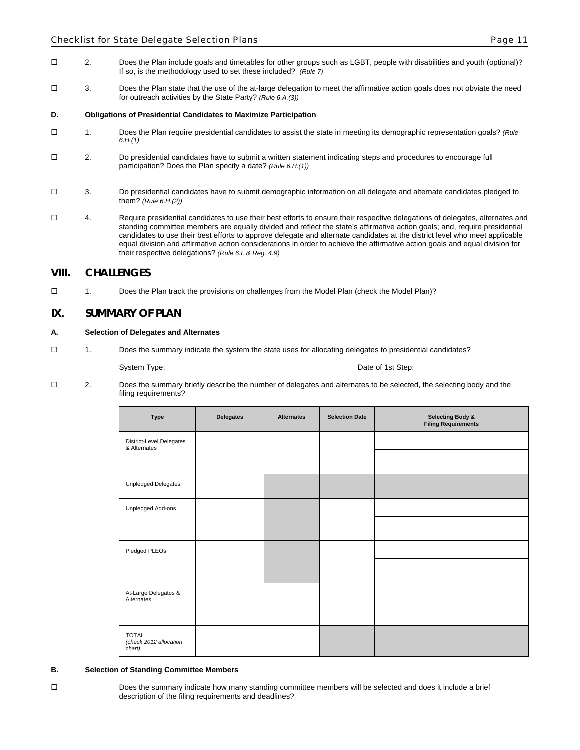- 2. Does the Plan include goals and timetables for other groups such as LGBT, people with disabilities and youth (optional)? If so, is the methodology used to set these included? *(Rule 7)*
- □ 3. Does the Plan state that the use of the at-large delegation to meet the affirmative action goals does not obviate the need for outreach activities by the State Party? *(Rule 6.A.(3))*

#### **D. Obligations of Presidential Candidates to Maximize Participation**

- 1. Does the Plan require presidential candidates to assist the state in meeting its demographic representation goals? *(Rule 6.H.(1)*
- 2. Do presidential candidates have to submit a written statement indicating steps and procedures to encourage full participation? Does the Plan specify a date? *(Rule 6.H.(1))* \_\_\_\_\_\_\_\_\_\_\_\_\_\_\_\_\_\_\_\_\_\_\_\_\_\_\_\_\_\_\_\_\_\_\_\_\_\_\_\_\_\_\_\_\_\_\_\_\_\_\_\_
- $\Box$  3. Do presidential candidates have to submit demographic information on all delegate and alternate candidates pledged to them? *(Rule 6.H.(2))*
- 4. Require presidential candidates to use their best efforts to ensure their respective delegations of delegates, alternates and standing committee members are equally divided and reflect the state's affirmative action goals; and, require presidential candidates to use their best efforts to approve delegate and alternate candidates at the district level who meet applicable equal division and affirmative action considerations in order to achieve the affirmative action goals and equal division for their respective delegations? *(Rule 6.I. & Reg. 4.9)*

#### **VIII. CHALLENGES**

1. Does the Plan track the provisions on challenges from the Model Plan (check the Model Plan)?

#### **IX. SUMMARY OF PLAN**

#### **A. Selection of Delegates and Alternates**

1. Does the summary indicate the system the state uses for allocating delegates to presidential candidates?

System Type: \_\_\_\_\_\_\_\_\_\_\_\_\_\_\_\_\_\_\_\_\_\_ Date of 1st Step: \_\_\_\_\_\_\_\_\_\_\_\_\_\_\_\_\_\_\_\_\_\_\_\_\_\_

 $\square$  2. Does the summary briefly describe the number of delegates and alternates to be selected, the selecting body and the filing requirements?

| <b>Type</b>                                      | <b>Delegates</b> | <b>Alternates</b> | <b>Selection Date</b> | <b>Selecting Body &amp;</b><br><b>Filing Requirements</b> |
|--------------------------------------------------|------------------|-------------------|-----------------------|-----------------------------------------------------------|
| District-Level Delegates<br>& Alternates         |                  |                   |                       |                                                           |
|                                                  |                  |                   |                       |                                                           |
| Unpledged Delegates                              |                  |                   |                       |                                                           |
| Unpledged Add-ons                                |                  |                   |                       |                                                           |
|                                                  |                  |                   |                       |                                                           |
| Pledged PLEOs                                    |                  |                   |                       |                                                           |
|                                                  |                  |                   |                       |                                                           |
| At-Large Delegates &<br>Alternates               |                  |                   |                       |                                                           |
|                                                  |                  |                   |                       |                                                           |
| <b>TOTAL</b><br>(check 2012 allocation<br>chart) |                  |                   |                       |                                                           |

#### **B. Selection of Standing Committee Members**

Does the summary indicate how many standing committee members will be selected and does it include a brief description of the filing requirements and deadlines?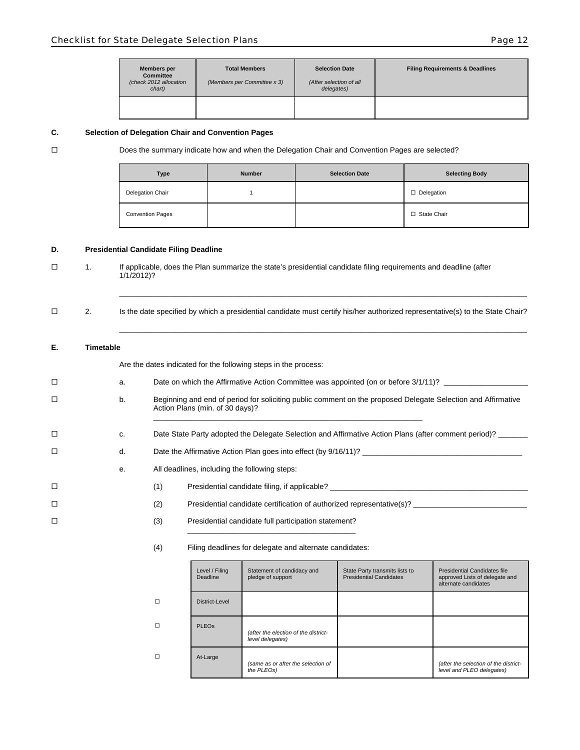| <b>Members per</b><br><b>Committee</b><br>(check 2012 allocation<br>chart) | <b>Total Members</b><br>(Members per Committee x 3) | <b>Selection Date</b><br>(After selection of all<br>delegates) | <b>Filing Requirements &amp; Deadlines</b> |
|----------------------------------------------------------------------------|-----------------------------------------------------|----------------------------------------------------------------|--------------------------------------------|
|                                                                            |                                                     |                                                                |                                            |

#### **C. Selection of Delegation Chair and Convention Pages**

Does the summary indicate how and when the Delegation Chair and Convention Pages are selected?

| <b>Type</b>             | <b>Number</b> | <b>Selection Date</b> | <b>Selecting Body</b> |
|-------------------------|---------------|-----------------------|-----------------------|
| Delegation Chair        |               |                       | $\Box$ Delegation     |
| <b>Convention Pages</b> |               |                       | □ State Chair         |

#### **D. Presidential Candidate Filing Deadline**

- 1. If applicable, does the Plan summarize the state's presidential candidate filing requirements and deadline (after 1/1/2012)?
- \_\_\_\_\_\_\_\_\_\_\_\_\_\_\_\_\_\_\_\_\_\_\_\_\_\_\_\_\_\_\_\_\_\_\_\_\_\_\_\_\_\_\_\_\_\_\_\_\_\_\_\_\_\_\_\_\_\_\_\_\_\_\_\_\_\_\_\_\_\_\_\_\_\_\_\_\_\_\_\_\_\_\_\_\_\_\_\_\_\_\_\_\_\_\_\_\_ 2. Is the date specified by which a presidential candidate must certify his/her authorized representative(s) to the State Chair? \_\_\_\_\_\_\_\_\_\_\_\_\_\_\_\_\_\_\_\_\_\_\_\_\_\_\_\_\_\_\_\_\_\_\_\_\_\_\_\_\_\_\_\_\_\_\_\_\_\_\_\_\_\_\_\_\_\_\_\_\_\_\_\_\_\_\_\_\_\_\_\_\_\_\_\_\_\_\_\_\_\_\_\_\_\_\_\_\_\_\_\_\_\_\_\_\_

#### **E. Timetable**

Are the dates indicated for the following steps in the process:

| $\Box$ | a. | Date on which the Affirmative Action Committee was appointed (on or before 3/1/11)?                                                             |  |  |
|--------|----|-------------------------------------------------------------------------------------------------------------------------------------------------|--|--|
| $\Box$ | b. | Beginning and end of period for soliciting public comment on the proposed Delegate Selection and Affirmative<br>Action Plans (min. of 30 days)? |  |  |
| □      | c. | Date State Party adopted the Delegate Selection and Affirmative Action Plans (after comment period)?                                            |  |  |
| $\Box$ | d. | Date the Affirmative Action Plan goes into effect (by 9/16/11)?                                                                                 |  |  |
|        | е. | All deadlines, including the following steps:                                                                                                   |  |  |
| $\Box$ |    | (1)<br>Presidential candidate filing, if applicable?                                                                                            |  |  |
| $\Box$ |    | (2)<br>Presidential candidate certification of authorized representative(s)?                                                                    |  |  |
| $\Box$ |    | (3)<br>Presidential candidate full participation statement?                                                                                     |  |  |
|        |    |                                                                                                                                                 |  |  |

#### (4) Filing deadlines for delegate and alternate candidates:

|   | Level / Filing<br><b>Deadline</b> | Statement of candidacy and<br>pledge of support          | State Party transmits lists to<br><b>Presidential Candidates</b> | Presidential Candidates file<br>approved Lists of delegate and<br>alternate candidates |
|---|-----------------------------------|----------------------------------------------------------|------------------------------------------------------------------|----------------------------------------------------------------------------------------|
| □ | District-Level                    |                                                          |                                                                  |                                                                                        |
| □ | <b>PLEO<sub>s</sub></b>           | (after the election of the district-<br>level delegates) |                                                                  |                                                                                        |
| □ | At-Large                          | (same as or after the selection of<br>the PLEOs)         |                                                                  | (after the selection of the district-<br>level and PLEO delegates)                     |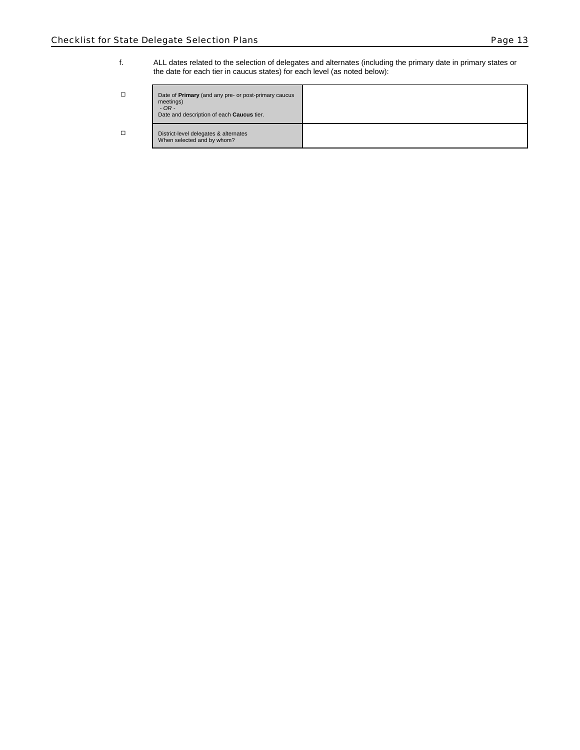f. ALL dates related to the selection of delegates and alternates (including the primary date in primary states or the date for each tier in caucus states) for each level (as noted below):

| □ | Date of <b>Primary</b> (and any pre- or post-primary caucus<br>meetings)<br>$-$ OR $-$<br>Date and description of each Caucus tier. |  |
|---|-------------------------------------------------------------------------------------------------------------------------------------|--|
| □ | District-level delegates & alternates<br>When selected and by whom?                                                                 |  |